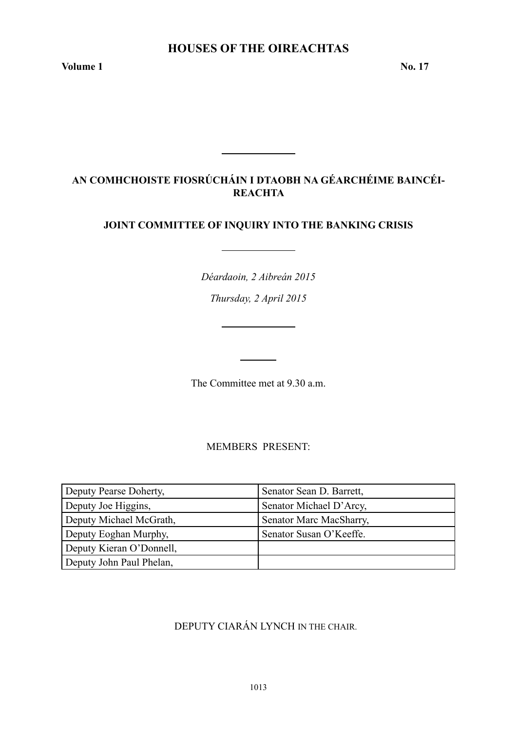**Volume 1 No. 17** 

# **AN COMHCHOISTE FIOSRÚCHÁIN I DTAOBH NA GÉARCHÉIME BAINCÉI-REACHTA**

# **JOINT COMMITTEE OF INQUIRY INTO THE BANKING CRISIS**

*Déardaoin, 2 Aibreán 2015*

*Thursday, 2 April 2015*

<u> 1990 - John Barn Barn, amerikansk politiker</u>

The Committee met at 9.30 a.m.

MEMBERS PRESENT:

| Deputy Pearse Doherty,   | Senator Sean D. Barrett, |
|--------------------------|--------------------------|
| Deputy Joe Higgins,      | Senator Michael D'Arcy,  |
| Deputy Michael McGrath,  | Senator Marc MacSharry,  |
| Deputy Eoghan Murphy,    | Senator Susan O'Keeffe.  |
| Deputy Kieran O'Donnell, |                          |
| Deputy John Paul Phelan, |                          |

# DEPUTY CIARÁN LYNCH IN THE CHAIR.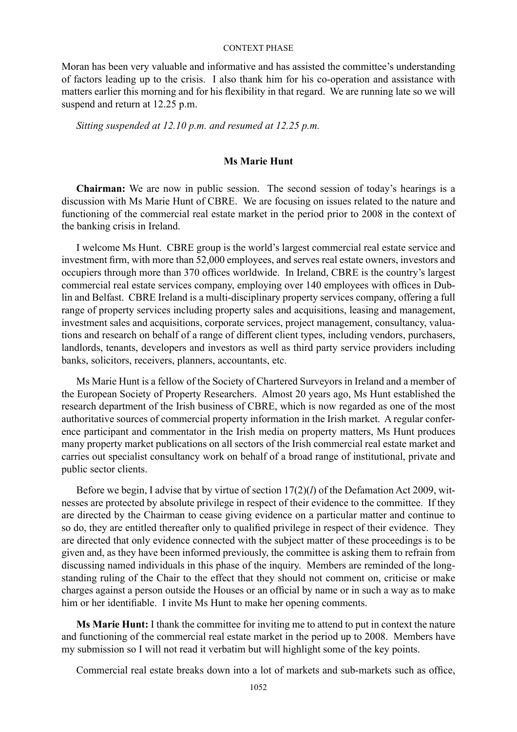Moran has been very valuable and informative and has assisted the committee's understanding of factors leading up to the crisis. I also thank him for his co-operation and assistance with matters earlier this morning and for his flexibility in that regard. We are running late so we will suspend and return at 12.25 p.m.

*Sitting suspended at 12.10 p.m. and resumed at 12.25 p.m.*

# **Ms Marie Hunt**

**Chairman:** We are now in public session. The second session of today's hearings is a discussion with Ms Marie Hunt of CBRE. We are focusing on issues related to the nature and functioning of the commercial real estate market in the period prior to 2008 in the context of the banking crisis in Ireland.

I welcome Ms Hunt. CBRE group is the world's largest commercial real estate service and investment firm, with more than 52,000 employees, and serves real estate owners, investors and occupiers through more than 370 offices worldwide. In Ireland, CBRE is the country's largest commercial real estate services company, employing over 140 employees with offices in Dublin and Belfast. CBRE Ireland is a multi-disciplinary property services company, offering a full range of property services including property sales and acquisitions, leasing and management, investment sales and acquisitions, corporate services, project management, consultancy, valuations and research on behalf of a range of different client types, including vendors, purchasers, landlords, tenants, developers and investors as well as third party service providers including banks, solicitors, receivers, planners, accountants, etc.

Ms Marie Hunt is a fellow of the Society of Chartered Surveyors in Ireland and a member of the European Society of Property Researchers. Almost 20 years ago, Ms Hunt established the research department of the Irish business of CBRE, which is now regarded as one of the most authoritative sources of commercial property information in the Irish market. A regular conference participant and commentator in the Irish media on property matters, Ms Hunt produces many property market publications on all sectors of the Irish commercial real estate market and carries out specialist consultancy work on behalf of a broad range of institutional, private and public sector clients.

Before we begin, I advise that by virtue of section 17(2)(*l*) of the Defamation Act 2009, witnesses are protected by absolute privilege in respect of their evidence to the committee. If they are directed by the Chairman to cease giving evidence on a particular matter and continue to so do, they are entitled thereafter only to qualified privilege in respect of their evidence. They are directed that only evidence connected with the subject matter of these proceedings is to be given and, as they have been informed previously, the committee is asking them to refrain from discussing named individuals in this phase of the inquiry. Members are reminded of the longstanding ruling of the Chair to the effect that they should not comment on, criticise or make charges against a person outside the Houses or an official by name or in such a way as to make him or her identifiable. I invite Ms Hunt to make her opening comments.

**Ms Marie Hunt:** I thank the committee for inviting me to attend to put in context the nature and functioning of the commercial real estate market in the period up to 2008. Members have my submission so I will not read it verbatim but will highlight some of the key points.

Commercial real estate breaks down into a lot of markets and sub-markets such as office,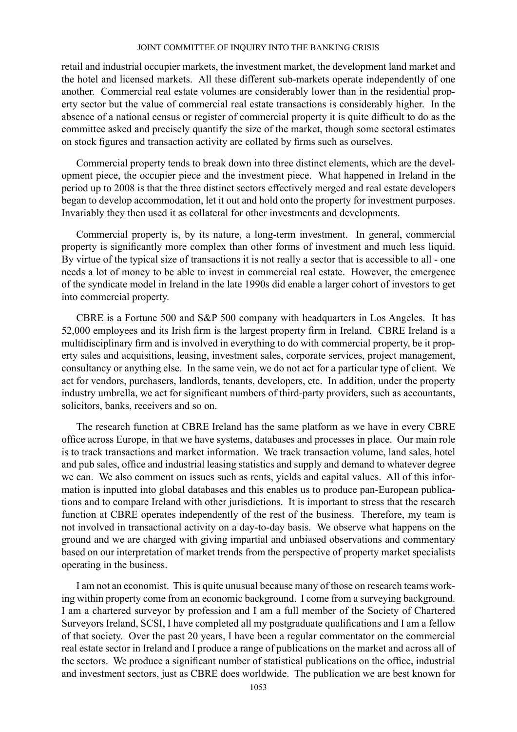retail and industrial occupier markets, the investment market, the development land market and the hotel and licensed markets. All these different sub-markets operate independently of one another. Commercial real estate volumes are considerably lower than in the residential property sector but the value of commercial real estate transactions is considerably higher. In the absence of a national census or register of commercial property it is quite difficult to do as the committee asked and precisely quantify the size of the market, though some sectoral estimates on stock figures and transaction activity are collated by firms such as ourselves.

Commercial property tends to break down into three distinct elements, which are the development piece, the occupier piece and the investment piece. What happened in Ireland in the period up to 2008 is that the three distinct sectors effectively merged and real estate developers began to develop accommodation, let it out and hold onto the property for investment purposes. Invariably they then used it as collateral for other investments and developments.

Commercial property is, by its nature, a long-term investment. In general, commercial property is significantly more complex than other forms of investment and much less liquid. By virtue of the typical size of transactions it is not really a sector that is accessible to all - one needs a lot of money to be able to invest in commercial real estate. However, the emergence of the syndicate model in Ireland in the late 1990s did enable a larger cohort of investors to get into commercial property.

CBRE is a Fortune 500 and S&P 500 company with headquarters in Los Angeles. It has 52,000 employees and its Irish firm is the largest property firm in Ireland. CBRE Ireland is a multidisciplinary firm and is involved in everything to do with commercial property, be it property sales and acquisitions, leasing, investment sales, corporate services, project management, consultancy or anything else. In the same vein, we do not act for a particular type of client. We act for vendors, purchasers, landlords, tenants, developers, etc. In addition, under the property industry umbrella, we act for significant numbers of third-party providers, such as accountants, solicitors, banks, receivers and so on.

The research function at CBRE Ireland has the same platform as we have in every CBRE office across Europe, in that we have systems, databases and processes in place. Our main role is to track transactions and market information. We track transaction volume, land sales, hotel and pub sales, office and industrial leasing statistics and supply and demand to whatever degree we can. We also comment on issues such as rents, yields and capital values. All of this information is inputted into global databases and this enables us to produce pan-European publications and to compare Ireland with other jurisdictions. It is important to stress that the research function at CBRE operates independently of the rest of the business. Therefore, my team is not involved in transactional activity on a day-to-day basis. We observe what happens on the ground and we are charged with giving impartial and unbiased observations and commentary based on our interpretation of market trends from the perspective of property market specialists operating in the business.

I am not an economist. This is quite unusual because many of those on research teams working within property come from an economic background. I come from a surveying background. I am a chartered surveyor by profession and I am a full member of the Society of Chartered Surveyors Ireland, SCSI, I have completed all my postgraduate qualifications and I am a fellow of that society. Over the past 20 years, I have been a regular commentator on the commercial real estate sector in Ireland and I produce a range of publications on the market and across all of the sectors. We produce a significant number of statistical publications on the office, industrial and investment sectors, just as CBRE does worldwide. The publication we are best known for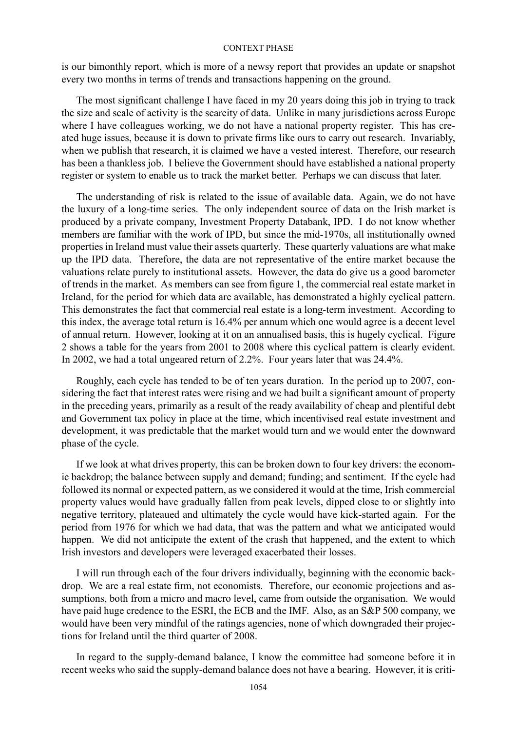is our bimonthly report, which is more of a newsy report that provides an update or snapshot every two months in terms of trends and transactions happening on the ground.

The most significant challenge I have faced in my 20 years doing this job in trying to track the size and scale of activity is the scarcity of data. Unlike in many jurisdictions across Europe where I have colleagues working, we do not have a national property register. This has created huge issues, because it is down to private firms like ours to carry out research. Invariably, when we publish that research, it is claimed we have a vested interest. Therefore, our research has been a thankless job. I believe the Government should have established a national property register or system to enable us to track the market better. Perhaps we can discuss that later.

The understanding of risk is related to the issue of available data. Again, we do not have the luxury of a long-time series. The only independent source of data on the Irish market is produced by a private company, Investment Property Databank, IPD. I do not know whether members are familiar with the work of IPD, but since the mid-1970s, all institutionally owned properties in Ireland must value their assets quarterly. These quarterly valuations are what make up the IPD data. Therefore, the data are not representative of the entire market because the valuations relate purely to institutional assets. However, the data do give us a good barometer of trends in the market. As members can see from figure 1, the commercial real estate market in Ireland, for the period for which data are available, has demonstrated a highly cyclical pattern. This demonstrates the fact that commercial real estate is a long-term investment. According to this index, the average total return is 16.4% per annum which one would agree is a decent level of annual return. However, looking at it on an annualised basis, this is hugely cyclical. Figure 2 shows a table for the years from 2001 to 2008 where this cyclical pattern is clearly evident. In 2002, we had a total ungeared return of 2.2%. Four years later that was 24.4%.

Roughly, each cycle has tended to be of ten years duration. In the period up to 2007, considering the fact that interest rates were rising and we had built a significant amount of property in the preceding years, primarily as a result of the ready availability of cheap and plentiful debt and Government tax policy in place at the time, which incentivised real estate investment and development, it was predictable that the market would turn and we would enter the downward phase of the cycle.

If we look at what drives property, this can be broken down to four key drivers: the economic backdrop; the balance between supply and demand; funding; and sentiment. If the cycle had followed its normal or expected pattern, as we considered it would at the time, Irish commercial property values would have gradually fallen from peak levels, dipped close to or slightly into negative territory, plateaued and ultimately the cycle would have kick-started again. For the period from 1976 for which we had data, that was the pattern and what we anticipated would happen. We did not anticipate the extent of the crash that happened, and the extent to which Irish investors and developers were leveraged exacerbated their losses.

I will run through each of the four drivers individually, beginning with the economic backdrop. We are a real estate firm, not economists. Therefore, our economic projections and assumptions, both from a micro and macro level, came from outside the organisation. We would have paid huge credence to the ESRI, the ECB and the IMF. Also, as an S&P 500 company, we would have been very mindful of the ratings agencies, none of which downgraded their projections for Ireland until the third quarter of 2008.

In regard to the supply-demand balance, I know the committee had someone before it in recent weeks who said the supply-demand balance does not have a bearing. However, it is criti-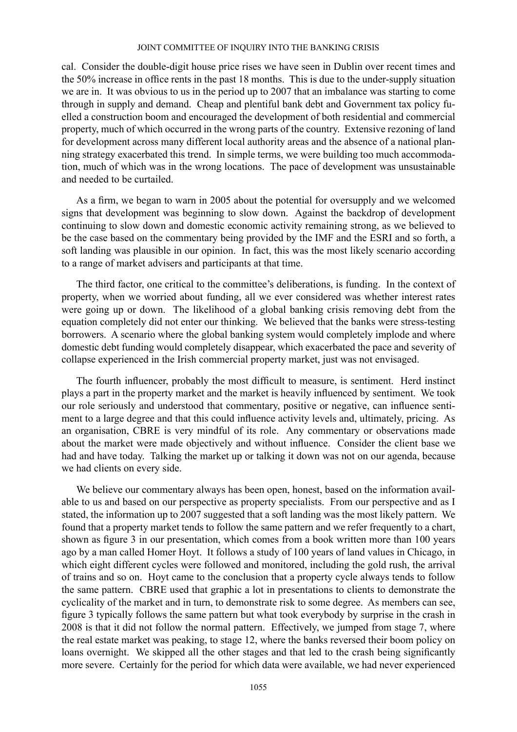cal. Consider the double-digit house price rises we have seen in Dublin over recent times and the 50% increase in office rents in the past 18 months. This is due to the under-supply situation we are in. It was obvious to us in the period up to 2007 that an imbalance was starting to come through in supply and demand. Cheap and plentiful bank debt and Government tax policy fuelled a construction boom and encouraged the development of both residential and commercial property, much of which occurred in the wrong parts of the country. Extensive rezoning of land for development across many different local authority areas and the absence of a national planning strategy exacerbated this trend. In simple terms, we were building too much accommodation, much of which was in the wrong locations. The pace of development was unsustainable and needed to be curtailed.

As a firm, we began to warn in 2005 about the potential for oversupply and we welcomed signs that development was beginning to slow down. Against the backdrop of development continuing to slow down and domestic economic activity remaining strong, as we believed to be the case based on the commentary being provided by the IMF and the ESRI and so forth, a soft landing was plausible in our opinion. In fact, this was the most likely scenario according to a range of market advisers and participants at that time.

The third factor, one critical to the committee's deliberations, is funding. In the context of property, when we worried about funding, all we ever considered was whether interest rates were going up or down. The likelihood of a global banking crisis removing debt from the equation completely did not enter our thinking. We believed that the banks were stress-testing borrowers. A scenario where the global banking system would completely implode and where domestic debt funding would completely disappear, which exacerbated the pace and severity of collapse experienced in the Irish commercial property market, just was not envisaged.

The fourth influencer, probably the most difficult to measure, is sentiment. Herd instinct plays a part in the property market and the market is heavily influenced by sentiment. We took our role seriously and understood that commentary, positive or negative, can influence sentiment to a large degree and that this could influence activity levels and, ultimately, pricing. As an organisation, CBRE is very mindful of its role. Any commentary or observations made about the market were made objectively and without influence. Consider the client base we had and have today. Talking the market up or talking it down was not on our agenda, because we had clients on every side.

We believe our commentary always has been open, honest, based on the information available to us and based on our perspective as property specialists. From our perspective and as I stated, the information up to 2007 suggested that a soft landing was the most likely pattern. We found that a property market tends to follow the same pattern and we refer frequently to a chart, shown as figure 3 in our presentation, which comes from a book written more than 100 years ago by a man called Homer Hoyt. It follows a study of 100 years of land values in Chicago, in which eight different cycles were followed and monitored, including the gold rush, the arrival of trains and so on. Hoyt came to the conclusion that a property cycle always tends to follow the same pattern. CBRE used that graphic a lot in presentations to clients to demonstrate the cyclicality of the market and in turn, to demonstrate risk to some degree. As members can see, figure 3 typically follows the same pattern but what took everybody by surprise in the crash in 2008 is that it did not follow the normal pattern. Effectively, we jumped from stage 7, where the real estate market was peaking, to stage 12, where the banks reversed their boom policy on loans overnight. We skipped all the other stages and that led to the crash being significantly more severe. Certainly for the period for which data were available, we had never experienced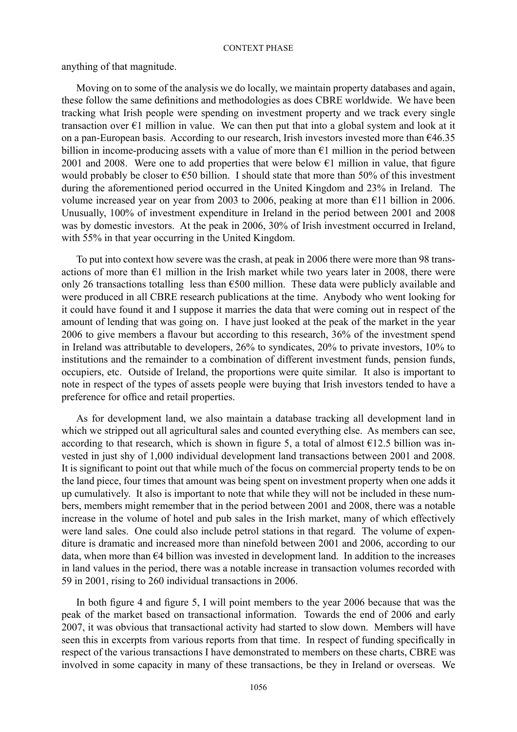anything of that magnitude.

Moving on to some of the analysis we do locally, we maintain property databases and again, these follow the same definitions and methodologies as does CBRE worldwide. We have been tracking what Irish people were spending on investment property and we track every single transaction over  $\epsilon$ 1 million in value. We can then put that into a global system and look at it on a pan-European basis. According to our research, Irish investors invested more than  $646.35$ billion in income-producing assets with a value of more than  $\epsilon$ 1 million in the period between 2001 and 2008. Were one to add properties that were below  $\epsilon$ 1 million in value, that figure would probably be closer to  $\epsilon$ 50 billion. I should state that more than 50% of this investment during the aforementioned period occurred in the United Kingdom and 23% in Ireland. The volume increased year on year from 2003 to 2006, peaking at more than  $\epsilon$ 11 billion in 2006. Unusually, 100% of investment expenditure in Ireland in the period between 2001 and 2008 was by domestic investors. At the peak in 2006, 30% of Irish investment occurred in Ireland, with 55% in that year occurring in the United Kingdom.

To put into context how severe was the crash, at peak in 2006 there were more than 98 transactions of more than  $\epsilon$ 1 million in the Irish market while two years later in 2008, there were only 26 transactions totalling less than  $\epsilon$ 500 million. These data were publicly available and were produced in all CBRE research publications at the time. Anybody who went looking for it could have found it and I suppose it marries the data that were coming out in respect of the amount of lending that was going on. I have just looked at the peak of the market in the year 2006 to give members a flavour but according to this research, 36% of the investment spend in Ireland was attributable to developers, 26% to syndicates, 20% to private investors, 10% to institutions and the remainder to a combination of different investment funds, pension funds, occupiers, etc. Outside of Ireland, the proportions were quite similar. It also is important to note in respect of the types of assets people were buying that Irish investors tended to have a preference for office and retail properties.

As for development land, we also maintain a database tracking all development land in which we stripped out all agricultural sales and counted everything else. As members can see, according to that research, which is shown in figure 5, a total of almost  $\epsilon$ 12.5 billion was invested in just shy of 1,000 individual development land transactions between 2001 and 2008. It is significant to point out that while much of the focus on commercial property tends to be on the land piece, four times that amount was being spent on investment property when one adds it up cumulatively. It also is important to note that while they will not be included in these numbers, members might remember that in the period between 2001 and 2008, there was a notable increase in the volume of hotel and pub sales in the Irish market, many of which effectively were land sales. One could also include petrol stations in that regard. The volume of expenditure is dramatic and increased more than ninefold between 2001 and 2006, according to our data, when more than €4 billion was invested in development land. In addition to the increases in land values in the period, there was a notable increase in transaction volumes recorded with 59 in 2001, rising to 260 individual transactions in 2006.

In both figure 4 and figure 5, I will point members to the year 2006 because that was the peak of the market based on transactional information. Towards the end of 2006 and early 2007, it was obvious that transactional activity had started to slow down. Members will have seen this in excerpts from various reports from that time. In respect of funding specifically in respect of the various transactions I have demonstrated to members on these charts, CBRE was involved in some capacity in many of these transactions, be they in Ireland or overseas. We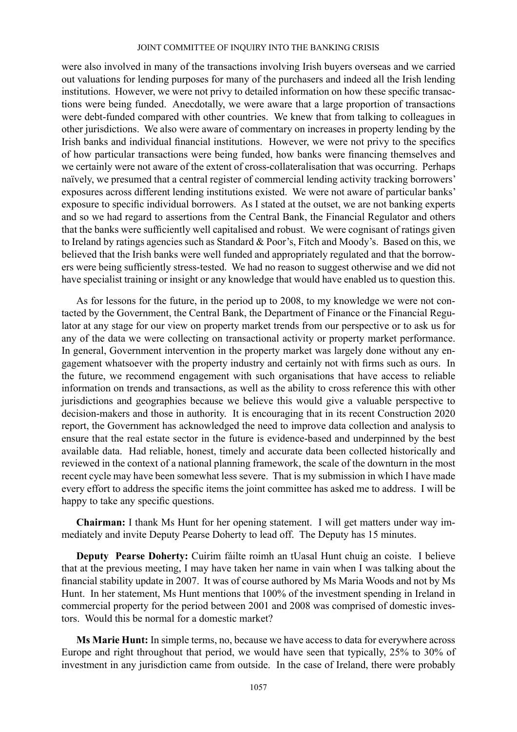were also involved in many of the transactions involving Irish buyers overseas and we carried out valuations for lending purposes for many of the purchasers and indeed all the Irish lending institutions. However, we were not privy to detailed information on how these specific transactions were being funded. Anecdotally, we were aware that a large proportion of transactions were debt-funded compared with other countries. We knew that from talking to colleagues in other jurisdictions. We also were aware of commentary on increases in property lending by the Irish banks and individual financial institutions. However, we were not privy to the specifics of how particular transactions were being funded, how banks were financing themselves and we certainly were not aware of the extent of cross-collateralisation that was occurring. Perhaps naïvely, we presumed that a central register of commercial lending activity tracking borrowers' exposures across different lending institutions existed. We were not aware of particular banks' exposure to specific individual borrowers. As I stated at the outset, we are not banking experts and so we had regard to assertions from the Central Bank, the Financial Regulator and others that the banks were sufficiently well capitalised and robust. We were cognisant of ratings given to Ireland by ratings agencies such as Standard & Poor's, Fitch and Moody's. Based on this, we believed that the Irish banks were well funded and appropriately regulated and that the borrowers were being sufficiently stress-tested. We had no reason to suggest otherwise and we did not have specialist training or insight or any knowledge that would have enabled us to question this.

As for lessons for the future, in the period up to 2008, to my knowledge we were not contacted by the Government, the Central Bank, the Department of Finance or the Financial Regulator at any stage for our view on property market trends from our perspective or to ask us for any of the data we were collecting on transactional activity or property market performance. In general, Government intervention in the property market was largely done without any engagement whatsoever with the property industry and certainly not with firms such as ours. In the future, we recommend engagement with such organisations that have access to reliable information on trends and transactions, as well as the ability to cross reference this with other jurisdictions and geographies because we believe this would give a valuable perspective to decision-makers and those in authority. It is encouraging that in its recent Construction 2020 report, the Government has acknowledged the need to improve data collection and analysis to ensure that the real estate sector in the future is evidence-based and underpinned by the best available data. Had reliable, honest, timely and accurate data been collected historically and reviewed in the context of a national planning framework, the scale of the downturn in the most recent cycle may have been somewhat less severe. That is my submission in which I have made every effort to address the specific items the joint committee has asked me to address. I will be happy to take any specific questions.

**Chairman:** I thank Ms Hunt for her opening statement. I will get matters under way immediately and invite Deputy Pearse Doherty to lead off. The Deputy has 15 minutes.

**Deputy Pearse Doherty:** Cuirim fáilte roimh an tUasal Hunt chuig an coiste. I believe that at the previous meeting, I may have taken her name in vain when I was talking about the financial stability update in 2007. It was of course authored by Ms Maria Woods and not by Ms Hunt. In her statement, Ms Hunt mentions that 100% of the investment spending in Ireland in commercial property for the period between 2001 and 2008 was comprised of domestic investors. Would this be normal for a domestic market?

**Ms Marie Hunt:** In simple terms, no, because we have access to data for everywhere across Europe and right throughout that period, we would have seen that typically, 25% to 30% of investment in any jurisdiction came from outside. In the case of Ireland, there were probably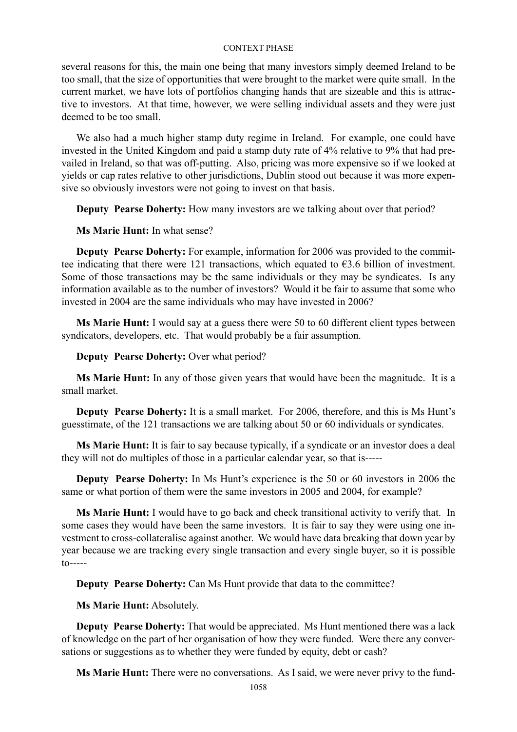several reasons for this, the main one being that many investors simply deemed Ireland to be too small, that the size of opportunities that were brought to the market were quite small. In the current market, we have lots of portfolios changing hands that are sizeable and this is attractive to investors. At that time, however, we were selling individual assets and they were just deemed to be too small.

We also had a much higher stamp duty regime in Ireland. For example, one could have invested in the United Kingdom and paid a stamp duty rate of 4% relative to 9% that had prevailed in Ireland, so that was off-putting. Also, pricing was more expensive so if we looked at yields or cap rates relative to other jurisdictions, Dublin stood out because it was more expensive so obviously investors were not going to invest on that basis.

**Deputy Pearse Doherty:** How many investors are we talking about over that period?

**Ms Marie Hunt:** In what sense?

**Deputy Pearse Doherty:** For example, information for 2006 was provided to the committee indicating that there were 121 transactions, which equated to  $\epsilon$ 3.6 billion of investment. Some of those transactions may be the same individuals or they may be syndicates. Is any information available as to the number of investors? Would it be fair to assume that some who invested in 2004 are the same individuals who may have invested in 2006?

**Ms Marie Hunt:** I would say at a guess there were 50 to 60 different client types between syndicators, developers, etc. That would probably be a fair assumption.

**Deputy Pearse Doherty:** Over what period?

**Ms Marie Hunt:** In any of those given years that would have been the magnitude. It is a small market.

**Deputy Pearse Doherty:** It is a small market. For 2006, therefore, and this is Ms Hunt's guesstimate, of the 121 transactions we are talking about 50 or 60 individuals or syndicates.

**Ms Marie Hunt:** It is fair to say because typically, if a syndicate or an investor does a deal they will not do multiples of those in a particular calendar year, so that is-----

**Deputy Pearse Doherty:** In Ms Hunt's experience is the 50 or 60 investors in 2006 the same or what portion of them were the same investors in 2005 and 2004, for example?

**Ms Marie Hunt:** I would have to go back and check transitional activity to verify that. In some cases they would have been the same investors. It is fair to say they were using one investment to cross-collateralise against another. We would have data breaking that down year by year because we are tracking every single transaction and every single buyer, so it is possible  $to---$ 

**Deputy Pearse Doherty:** Can Ms Hunt provide that data to the committee?

**Ms Marie Hunt:** Absolutely.

**Deputy Pearse Doherty:** That would be appreciated. Ms Hunt mentioned there was a lack of knowledge on the part of her organisation of how they were funded. Were there any conversations or suggestions as to whether they were funded by equity, debt or cash?

**Ms Marie Hunt:** There were no conversations. As I said, we were never privy to the fund-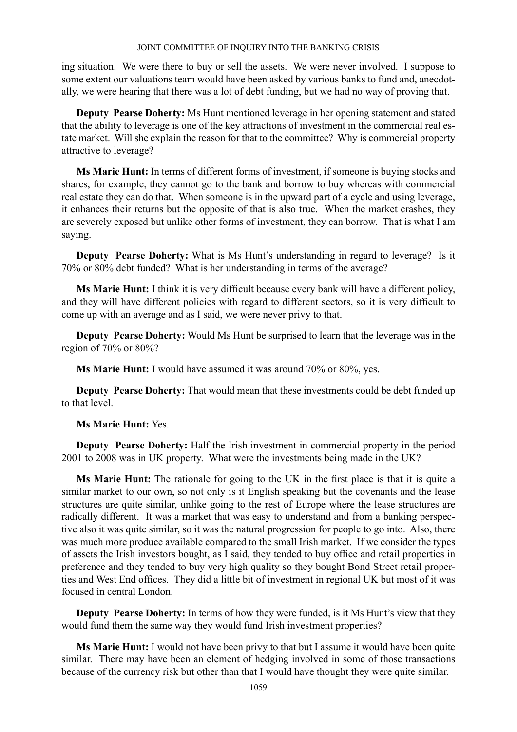ing situation. We were there to buy or sell the assets. We were never involved. I suppose to some extent our valuations team would have been asked by various banks to fund and, anecdotally, we were hearing that there was a lot of debt funding, but we had no way of proving that.

**Deputy Pearse Doherty:** Ms Hunt mentioned leverage in her opening statement and stated that the ability to leverage is one of the key attractions of investment in the commercial real estate market. Will she explain the reason for that to the committee? Why is commercial property attractive to leverage?

**Ms Marie Hunt:** In terms of different forms of investment, if someone is buying stocks and shares, for example, they cannot go to the bank and borrow to buy whereas with commercial real estate they can do that. When someone is in the upward part of a cycle and using leverage, it enhances their returns but the opposite of that is also true. When the market crashes, they are severely exposed but unlike other forms of investment, they can borrow. That is what I am saying.

**Deputy Pearse Doherty:** What is Ms Hunt's understanding in regard to leverage? Is it 70% or 80% debt funded? What is her understanding in terms of the average?

**Ms Marie Hunt:** I think it is very difficult because every bank will have a different policy, and they will have different policies with regard to different sectors, so it is very difficult to come up with an average and as I said, we were never privy to that.

**Deputy Pearse Doherty:** Would Ms Hunt be surprised to learn that the leverage was in the region of 70% or 80%?

**Ms Marie Hunt:** I would have assumed it was around 70% or 80%, yes.

**Deputy Pearse Doherty:** That would mean that these investments could be debt funded up to that level.

**Ms Marie Hunt:** Yes.

**Deputy Pearse Doherty:** Half the Irish investment in commercial property in the period 2001 to 2008 was in UK property. What were the investments being made in the UK?

**Ms Marie Hunt:** The rationale for going to the UK in the first place is that it is quite a similar market to our own, so not only is it English speaking but the covenants and the lease structures are quite similar, unlike going to the rest of Europe where the lease structures are radically different. It was a market that was easy to understand and from a banking perspective also it was quite similar, so it was the natural progression for people to go into. Also, there was much more produce available compared to the small Irish market. If we consider the types of assets the Irish investors bought, as I said, they tended to buy office and retail properties in preference and they tended to buy very high quality so they bought Bond Street retail properties and West End offices. They did a little bit of investment in regional UK but most of it was focused in central London.

**Deputy Pearse Doherty:** In terms of how they were funded, is it Ms Hunt's view that they would fund them the same way they would fund Irish investment properties?

**Ms Marie Hunt:** I would not have been privy to that but I assume it would have been quite similar. There may have been an element of hedging involved in some of those transactions because of the currency risk but other than that I would have thought they were quite similar.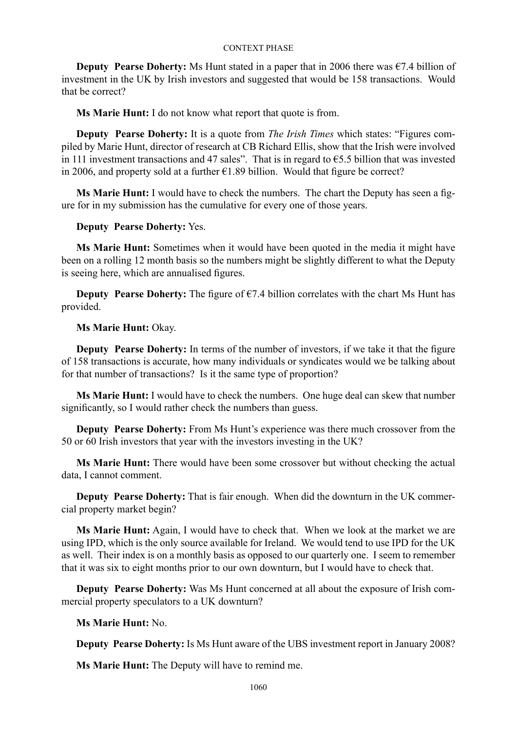**Deputy Pearse Doherty:** Ms Hunt stated in a paper that in 2006 there was  $\epsilon$ 7.4 billion of investment in the UK by Irish investors and suggested that would be 158 transactions. Would that be correct?

**Ms Marie Hunt:** I do not know what report that quote is from.

**Deputy Pearse Doherty:** It is a quote from *The Irish Times* which states: "Figures compiled by Marie Hunt, director of research at CB Richard Ellis, show that the Irish were involved in 111 investment transactions and 47 sales". That is in regard to €5.5 billion that was invested in 2006, and property sold at a further  $\epsilon$ 1.89 billion. Would that figure be correct?

**Ms Marie Hunt:** I would have to check the numbers. The chart the Deputy has seen a figure for in my submission has the cumulative for every one of those years.

# **Deputy Pearse Doherty:** Yes.

**Ms Marie Hunt:** Sometimes when it would have been quoted in the media it might have been on a rolling 12 month basis so the numbers might be slightly different to what the Deputy is seeing here, which are annualised figures.

**Deputy Pearse Doherty:** The figure of  $\epsilon$ 7.4 billion correlates with the chart Ms Hunt has provided.

# **Ms Marie Hunt:** Okay.

**Deputy Pearse Doherty:** In terms of the number of investors, if we take it that the figure of 158 transactions is accurate, how many individuals or syndicates would we be talking about for that number of transactions? Is it the same type of proportion?

**Ms Marie Hunt:** I would have to check the numbers. One huge deal can skew that number significantly, so I would rather check the numbers than guess.

**Deputy Pearse Doherty:** From Ms Hunt's experience was there much crossover from the 50 or 60 Irish investors that year with the investors investing in the UK?

**Ms Marie Hunt:** There would have been some crossover but without checking the actual data, I cannot comment.

**Deputy Pearse Doherty:** That is fair enough. When did the downturn in the UK commercial property market begin?

**Ms Marie Hunt:** Again, I would have to check that. When we look at the market we are using IPD, which is the only source available for Ireland. We would tend to use IPD for the UK as well. Their index is on a monthly basis as opposed to our quarterly one. I seem to remember that it was six to eight months prior to our own downturn, but I would have to check that.

**Deputy Pearse Doherty:** Was Ms Hunt concerned at all about the exposure of Irish commercial property speculators to a UK downturn?

**Ms Marie Hunt:** No.

**Deputy Pearse Doherty:** Is Ms Hunt aware of the UBS investment report in January 2008?

**Ms Marie Hunt:** The Deputy will have to remind me.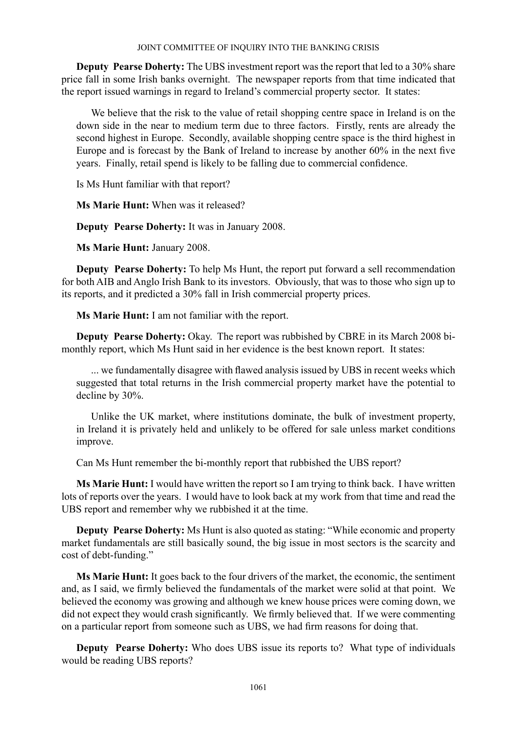**Deputy Pearse Doherty:** The UBS investment report was the report that led to a 30% share price fall in some Irish banks overnight. The newspaper reports from that time indicated that the report issued warnings in regard to Ireland's commercial property sector. It states:

We believe that the risk to the value of retail shopping centre space in Ireland is on the down side in the near to medium term due to three factors. Firstly, rents are already the second highest in Europe. Secondly, available shopping centre space is the third highest in Europe and is forecast by the Bank of Ireland to increase by another 60% in the next five years. Finally, retail spend is likely to be falling due to commercial confidence.

Is Ms Hunt familiar with that report?

**Ms Marie Hunt:** When was it released?

**Deputy Pearse Doherty:** It was in January 2008.

**Ms Marie Hunt:** January 2008.

**Deputy Pearse Doherty:** To help Ms Hunt, the report put forward a sell recommendation for both AIB and Anglo Irish Bank to its investors. Obviously, that was to those who sign up to its reports, and it predicted a 30% fall in Irish commercial property prices.

**Ms Marie Hunt:** I am not familiar with the report.

**Deputy Pearse Doherty:** Okay. The report was rubbished by CBRE in its March 2008 bimonthly report, which Ms Hunt said in her evidence is the best known report. It states:

... we fundamentally disagree with flawed analysis issued by UBS in recent weeks which suggested that total returns in the Irish commercial property market have the potential to decline by 30%.

Unlike the UK market, where institutions dominate, the bulk of investment property, in Ireland it is privately held and unlikely to be offered for sale unless market conditions improve.

Can Ms Hunt remember the bi-monthly report that rubbished the UBS report?

**Ms Marie Hunt:** I would have written the report so I am trying to think back. I have written lots of reports over the years. I would have to look back at my work from that time and read the UBS report and remember why we rubbished it at the time.

**Deputy Pearse Doherty:** Ms Hunt is also quoted as stating: "While economic and property market fundamentals are still basically sound, the big issue in most sectors is the scarcity and cost of debt-funding."

**Ms Marie Hunt:** It goes back to the four drivers of the market, the economic, the sentiment and, as I said, we firmly believed the fundamentals of the market were solid at that point. We believed the economy was growing and although we knew house prices were coming down, we did not expect they would crash significantly. We firmly believed that. If we were commenting on a particular report from someone such as UBS, we had firm reasons for doing that.

**Deputy Pearse Doherty:** Who does UBS issue its reports to? What type of individuals would be reading UBS reports?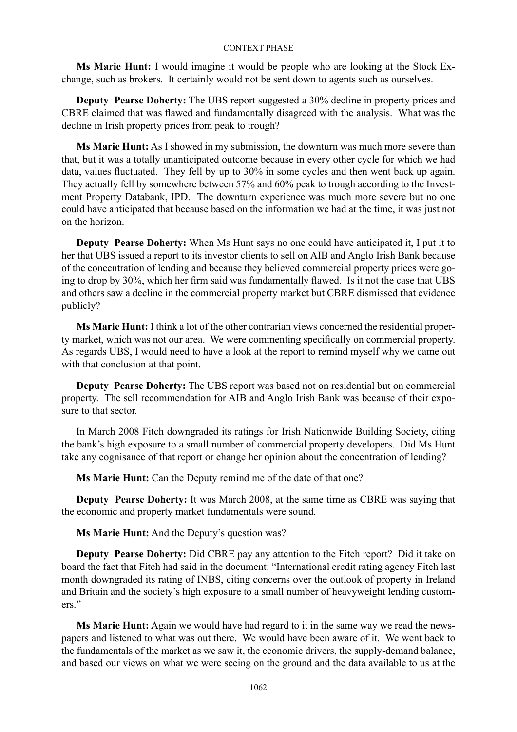**Ms Marie Hunt:** I would imagine it would be people who are looking at the Stock Exchange, such as brokers. It certainly would not be sent down to agents such as ourselves.

**Deputy Pearse Doherty:** The UBS report suggested a 30% decline in property prices and CBRE claimed that was flawed and fundamentally disagreed with the analysis. What was the decline in Irish property prices from peak to trough?

**Ms Marie Hunt:** As I showed in my submission, the downturn was much more severe than that, but it was a totally unanticipated outcome because in every other cycle for which we had data, values fluctuated. They fell by up to 30% in some cycles and then went back up again. They actually fell by somewhere between 57% and 60% peak to trough according to the Investment Property Databank, IPD. The downturn experience was much more severe but no one could have anticipated that because based on the information we had at the time, it was just not on the horizon.

**Deputy Pearse Doherty:** When Ms Hunt says no one could have anticipated it, I put it to her that UBS issued a report to its investor clients to sell on AIB and Anglo Irish Bank because of the concentration of lending and because they believed commercial property prices were going to drop by 30%, which her firm said was fundamentally flawed. Is it not the case that UBS and others saw a decline in the commercial property market but CBRE dismissed that evidence publicly?

**Ms Marie Hunt:** I think a lot of the other contrarian views concerned the residential property market, which was not our area. We were commenting specifically on commercial property. As regards UBS, I would need to have a look at the report to remind myself why we came out with that conclusion at that point.

**Deputy Pearse Doherty:** The UBS report was based not on residential but on commercial property. The sell recommendation for AIB and Anglo Irish Bank was because of their exposure to that sector.

In March 2008 Fitch downgraded its ratings for Irish Nationwide Building Society, citing the bank's high exposure to a small number of commercial property developers. Did Ms Hunt take any cognisance of that report or change her opinion about the concentration of lending?

**Ms Marie Hunt:** Can the Deputy remind me of the date of that one?

**Deputy Pearse Doherty:** It was March 2008, at the same time as CBRE was saying that the economic and property market fundamentals were sound.

**Ms Marie Hunt:** And the Deputy's question was?

**Deputy Pearse Doherty:** Did CBRE pay any attention to the Fitch report? Did it take on board the fact that Fitch had said in the document: "International credit rating agency Fitch last month downgraded its rating of INBS, citing concerns over the outlook of property in Ireland and Britain and the society's high exposure to a small number of heavyweight lending customers."

**Ms Marie Hunt:** Again we would have had regard to it in the same way we read the newspapers and listened to what was out there. We would have been aware of it. We went back to the fundamentals of the market as we saw it, the economic drivers, the supply-demand balance, and based our views on what we were seeing on the ground and the data available to us at the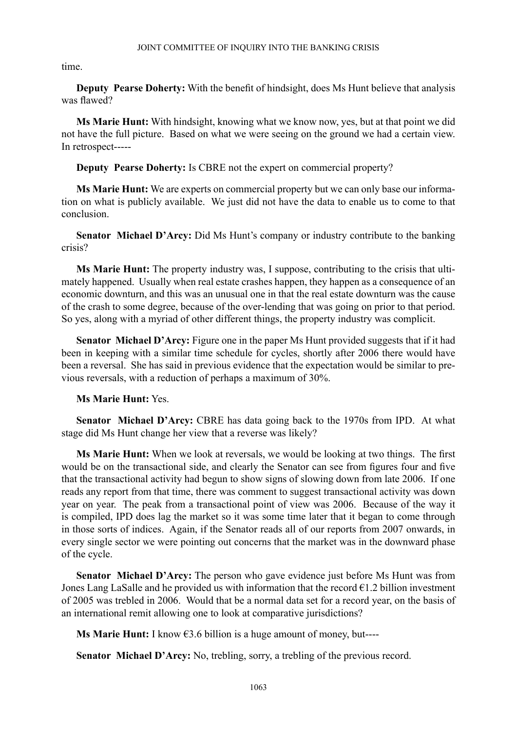time.

**Deputy Pearse Doherty:** With the benefit of hindsight, does Ms Hunt believe that analysis was flawed?

**Ms Marie Hunt:** With hindsight, knowing what we know now, yes, but at that point we did not have the full picture. Based on what we were seeing on the ground we had a certain view. In retrospect-----

**Deputy Pearse Doherty:** Is CBRE not the expert on commercial property?

**Ms Marie Hunt:** We are experts on commercial property but we can only base our information on what is publicly available. We just did not have the data to enable us to come to that conclusion.

**Senator Michael D'Arcy:** Did Ms Hunt's company or industry contribute to the banking crisis?

**Ms Marie Hunt:** The property industry was, I suppose, contributing to the crisis that ultimately happened. Usually when real estate crashes happen, they happen as a consequence of an economic downturn, and this was an unusual one in that the real estate downturn was the cause of the crash to some degree, because of the over-lending that was going on prior to that period. So yes, along with a myriad of other different things, the property industry was complicit.

**Senator Michael D'Arcy:** Figure one in the paper Ms Hunt provided suggests that if it had been in keeping with a similar time schedule for cycles, shortly after 2006 there would have been a reversal. She has said in previous evidence that the expectation would be similar to previous reversals, with a reduction of perhaps a maximum of 30%.

# **Ms Marie Hunt:** Yes.

**Senator Michael D'Arcy:** CBRE has data going back to the 1970s from IPD. At what stage did Ms Hunt change her view that a reverse was likely?

**Ms Marie Hunt:** When we look at reversals, we would be looking at two things. The first would be on the transactional side, and clearly the Senator can see from figures four and five that the transactional activity had begun to show signs of slowing down from late 2006. If one reads any report from that time, there was comment to suggest transactional activity was down year on year. The peak from a transactional point of view was 2006. Because of the way it is compiled, IPD does lag the market so it was some time later that it began to come through in those sorts of indices. Again, if the Senator reads all of our reports from 2007 onwards, in every single sector we were pointing out concerns that the market was in the downward phase of the cycle.

**Senator Michael D'Arcy:** The person who gave evidence just before Ms Hunt was from Jones Lang LaSalle and he provided us with information that the record  $\epsilon$ 1.2 billion investment of 2005 was trebled in 2006. Would that be a normal data set for a record year, on the basis of an international remit allowing one to look at comparative jurisdictions?

**Ms Marie Hunt:** I know €3.6 billion is a huge amount of money, but----

**Senator Michael D'Arcy:** No, trebling, sorry, a trebling of the previous record.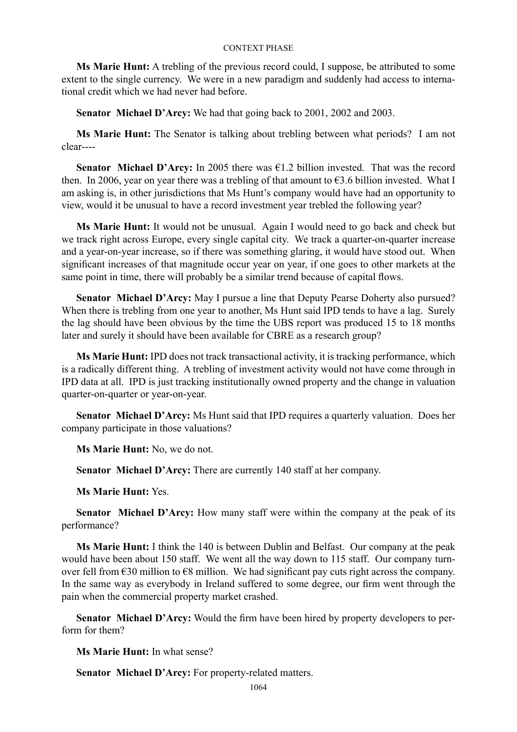**Ms Marie Hunt:** A trebling of the previous record could, I suppose, be attributed to some extent to the single currency. We were in a new paradigm and suddenly had access to international credit which we had never had before.

**Senator Michael D'Arcy:** We had that going back to 2001, 2002 and 2003.

**Ms Marie Hunt:** The Senator is talking about trebling between what periods? I am not clear----

**Senator Michael D'Arcy:** In 2005 there was €1.2 billion invested. That was the record then. In 2006, year on year there was a trebling of that amount to  $\epsilon$ 3.6 billion invested. What I am asking is, in other jurisdictions that Ms Hunt's company would have had an opportunity to view, would it be unusual to have a record investment year trebled the following year?

**Ms Marie Hunt:** It would not be unusual. Again I would need to go back and check but we track right across Europe, every single capital city. We track a quarter-on-quarter increase and a year-on-year increase, so if there was something glaring, it would have stood out. When significant increases of that magnitude occur year on year, if one goes to other markets at the same point in time, there will probably be a similar trend because of capital flows.

**Senator Michael D'Arcy:** May I pursue a line that Deputy Pearse Doherty also pursued? When there is trebling from one year to another, Ms Hunt said IPD tends to have a lag. Surely the lag should have been obvious by the time the UBS report was produced 15 to 18 months later and surely it should have been available for CBRE as a research group?

**Ms Marie Hunt:** IPD does not track transactional activity, it is tracking performance, which is a radically different thing. A trebling of investment activity would not have come through in IPD data at all. IPD is just tracking institutionally owned property and the change in valuation quarter-on-quarter or year-on-year.

**Senator Michael D'Arcy:** Ms Hunt said that IPD requires a quarterly valuation. Does her company participate in those valuations?

**Ms Marie Hunt:** No, we do not.

**Senator Michael D'Arcy:** There are currently 140 staff at her company.

**Ms Marie Hunt:** Yes.

**Senator Michael D'Arcy:** How many staff were within the company at the peak of its performance?

**Ms Marie Hunt:** I think the 140 is between Dublin and Belfast. Our company at the peak would have been about 150 staff. We went all the way down to 115 staff. Our company turnover fell from  $\epsilon$ 30 million to  $\epsilon$ 8 million. We had significant pay cuts right across the company. In the same way as everybody in Ireland suffered to some degree, our firm went through the pain when the commercial property market crashed.

**Senator Michael D'Arcy:** Would the firm have been hired by property developers to perform for them?

**Ms Marie Hunt:** In what sense?

**Senator Michael D'Arcy:** For property-related matters.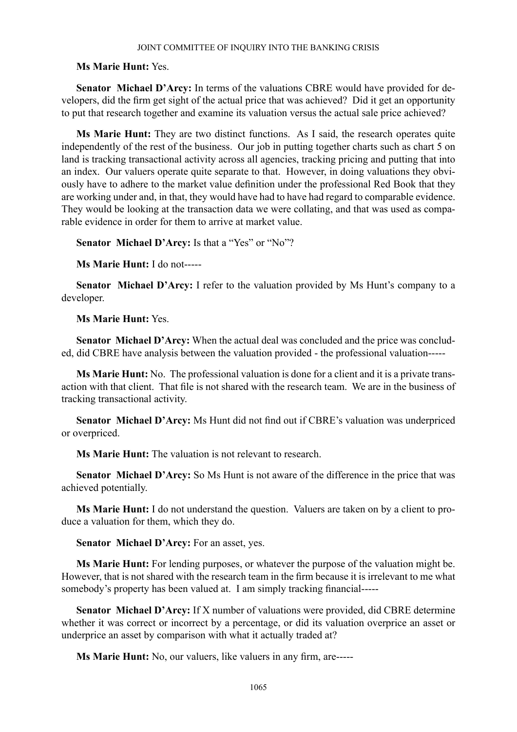# **Ms Marie Hunt:** Yes.

**Senator Michael D'Arcy:** In terms of the valuations CBRE would have provided for developers, did the firm get sight of the actual price that was achieved? Did it get an opportunity to put that research together and examine its valuation versus the actual sale price achieved?

**Ms Marie Hunt:** They are two distinct functions. As I said, the research operates quite independently of the rest of the business. Our job in putting together charts such as chart 5 on land is tracking transactional activity across all agencies, tracking pricing and putting that into an index. Our valuers operate quite separate to that. However, in doing valuations they obviously have to adhere to the market value definition under the professional Red Book that they are working under and, in that, they would have had to have had regard to comparable evidence. They would be looking at the transaction data we were collating, and that was used as comparable evidence in order for them to arrive at market value.

**Senator Michael D'Arcy:** Is that a "Yes" or "No"?

**Ms Marie Hunt:** I do not-----

**Senator Michael D'Arcy:** I refer to the valuation provided by Ms Hunt's company to a developer.

**Ms Marie Hunt:** Yes.

**Senator Michael D'Arcy:** When the actual deal was concluded and the price was concluded, did CBRE have analysis between the valuation provided - the professional valuation-----

**Ms Marie Hunt:** No. The professional valuation is done for a client and it is a private transaction with that client. That file is not shared with the research team. We are in the business of tracking transactional activity.

**Senator Michael D'Arcy:** Ms Hunt did not find out if CBRE's valuation was underpriced or overpriced.

**Ms Marie Hunt:** The valuation is not relevant to research.

**Senator Michael D'Arcy:** So Ms Hunt is not aware of the difference in the price that was achieved potentially.

**Ms Marie Hunt:** I do not understand the question. Valuers are taken on by a client to produce a valuation for them, which they do.

**Senator Michael D'Arcy:** For an asset, yes.

**Ms Marie Hunt:** For lending purposes, or whatever the purpose of the valuation might be. However, that is not shared with the research team in the firm because it is irrelevant to me what somebody's property has been valued at. I am simply tracking financial-----

**Senator Michael D'Arcy:** If X number of valuations were provided, did CBRE determine whether it was correct or incorrect by a percentage, or did its valuation overprice an asset or underprice an asset by comparison with what it actually traded at?

**Ms Marie Hunt:** No, our valuers, like valuers in any firm, are-----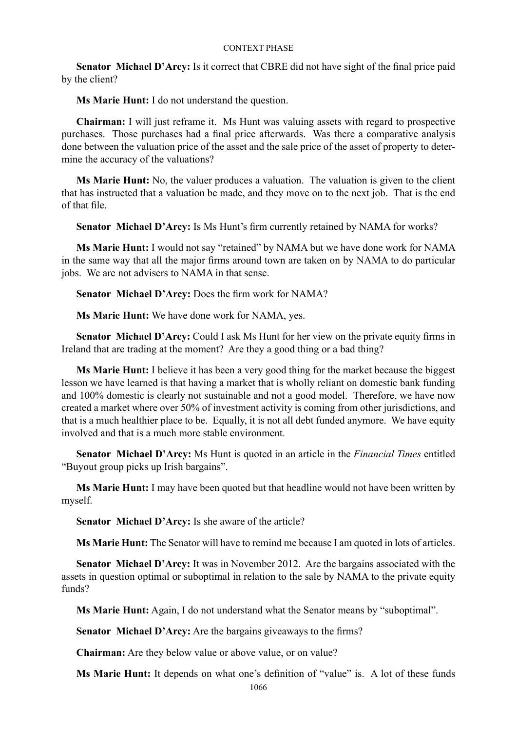**Senator Michael D'Arcy:** Is it correct that CBRE did not have sight of the final price paid by the client?

**Ms Marie Hunt:** I do not understand the question.

**Chairman:** I will just reframe it. Ms Hunt was valuing assets with regard to prospective purchases. Those purchases had a final price afterwards. Was there a comparative analysis done between the valuation price of the asset and the sale price of the asset of property to determine the accuracy of the valuations?

**Ms Marie Hunt:** No, the valuer produces a valuation. The valuation is given to the client that has instructed that a valuation be made, and they move on to the next job. That is the end of that file.

**Senator Michael D'Arcy:** Is Ms Hunt's firm currently retained by NAMA for works?

**Ms Marie Hunt:** I would not say "retained" by NAMA but we have done work for NAMA in the same way that all the major firms around town are taken on by NAMA to do particular jobs. We are not advisers to NAMA in that sense.

**Senator Michael D'Arcy:** Does the firm work for NAMA?

**Ms Marie Hunt:** We have done work for NAMA, yes.

**Senator Michael D'Arcy:** Could I ask Ms Hunt for her view on the private equity firms in Ireland that are trading at the moment? Are they a good thing or a bad thing?

**Ms Marie Hunt:** I believe it has been a very good thing for the market because the biggest lesson we have learned is that having a market that is wholly reliant on domestic bank funding and 100% domestic is clearly not sustainable and not a good model. Therefore, we have now created a market where over 50% of investment activity is coming from other jurisdictions, and that is a much healthier place to be. Equally, it is not all debt funded anymore. We have equity involved and that is a much more stable environment.

**Senator Michael D'Arcy:** Ms Hunt is quoted in an article in the *Financial Times* entitled "Buyout group picks up Irish bargains".

**Ms Marie Hunt:** I may have been quoted but that headline would not have been written by myself.

**Senator Michael D'Arcy:** Is she aware of the article?

**Ms Marie Hunt:** The Senator will have to remind me because I am quoted in lots of articles.

**Senator Michael D'Arcy:** It was in November 2012. Are the bargains associated with the assets in question optimal or suboptimal in relation to the sale by NAMA to the private equity funds?

**Ms Marie Hunt:** Again, I do not understand what the Senator means by "suboptimal".

**Senator Michael D'Arcy:** Are the bargains giveaways to the firms?

**Chairman:** Are they below value or above value, or on value?

**Ms Marie Hunt:** It depends on what one's definition of "value" is. A lot of these funds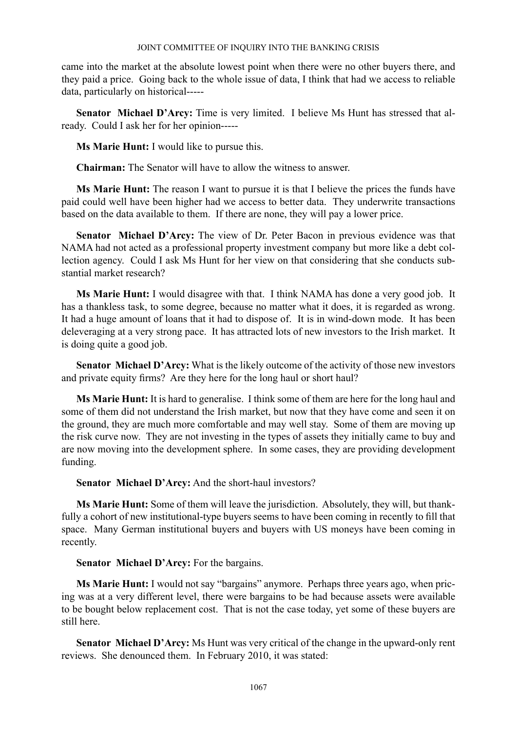came into the market at the absolute lowest point when there were no other buyers there, and they paid a price. Going back to the whole issue of data, I think that had we access to reliable data, particularly on historical-----

**Senator Michael D'Arcy:** Time is very limited. I believe Ms Hunt has stressed that already. Could I ask her for her opinion-----

**Ms Marie Hunt:** I would like to pursue this.

**Chairman:** The Senator will have to allow the witness to answer.

**Ms Marie Hunt:** The reason I want to pursue it is that I believe the prices the funds have paid could well have been higher had we access to better data. They underwrite transactions based on the data available to them. If there are none, they will pay a lower price.

**Senator Michael D'Arcy:** The view of Dr. Peter Bacon in previous evidence was that NAMA had not acted as a professional property investment company but more like a debt collection agency. Could I ask Ms Hunt for her view on that considering that she conducts substantial market research?

**Ms Marie Hunt:** I would disagree with that. I think NAMA has done a very good job. It has a thankless task, to some degree, because no matter what it does, it is regarded as wrong. It had a huge amount of loans that it had to dispose of. It is in wind-down mode. It has been deleveraging at a very strong pace. It has attracted lots of new investors to the Irish market. It is doing quite a good job.

**Senator Michael D'Arcy:** What is the likely outcome of the activity of those new investors and private equity firms? Are they here for the long haul or short haul?

**Ms Marie Hunt:** It is hard to generalise. I think some of them are here for the long haul and some of them did not understand the Irish market, but now that they have come and seen it on the ground, they are much more comfortable and may well stay. Some of them are moving up the risk curve now. They are not investing in the types of assets they initially came to buy and are now moving into the development sphere. In some cases, they are providing development funding.

**Senator Michael D'Arcy:** And the short-haul investors?

**Ms Marie Hunt:** Some of them will leave the jurisdiction. Absolutely, they will, but thankfully a cohort of new institutional-type buyers seems to have been coming in recently to fill that space. Many German institutional buyers and buyers with US moneys have been coming in recently.

**Senator Michael D'Arcy:** For the bargains.

**Ms Marie Hunt:** I would not say "bargains" anymore. Perhaps three years ago, when pricing was at a very different level, there were bargains to be had because assets were available to be bought below replacement cost. That is not the case today, yet some of these buyers are still here.

**Senator Michael D'Arcy:** Ms Hunt was very critical of the change in the upward-only rent reviews. She denounced them. In February 2010, it was stated: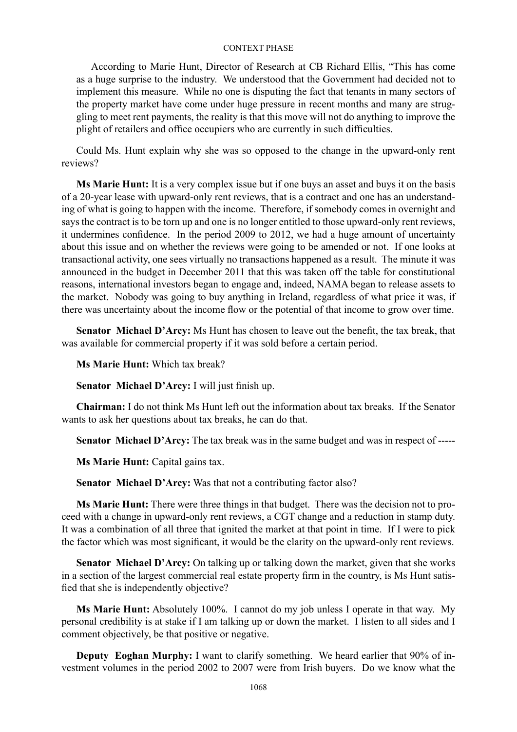According to Marie Hunt, Director of Research at CB Richard Ellis, "This has come as a huge surprise to the industry. We understood that the Government had decided not to implement this measure. While no one is disputing the fact that tenants in many sectors of the property market have come under huge pressure in recent months and many are struggling to meet rent payments, the reality is that this move will not do anything to improve the plight of retailers and office occupiers who are currently in such difficulties.

Could Ms. Hunt explain why she was so opposed to the change in the upward-only rent reviews?

**Ms Marie Hunt:** It is a very complex issue but if one buys an asset and buys it on the basis of a 20-year lease with upward-only rent reviews, that is a contract and one has an understanding of what is going to happen with the income. Therefore, if somebody comes in overnight and says the contract is to be torn up and one is no longer entitled to those upward-only rent reviews, it undermines confidence. In the period 2009 to 2012, we had a huge amount of uncertainty about this issue and on whether the reviews were going to be amended or not. If one looks at transactional activity, one sees virtually no transactions happened as a result. The minute it was announced in the budget in December 2011 that this was taken off the table for constitutional reasons, international investors began to engage and, indeed, NAMA began to release assets to the market. Nobody was going to buy anything in Ireland, regardless of what price it was, if there was uncertainty about the income flow or the potential of that income to grow over time.

**Senator Michael D'Arcy:** Ms Hunt has chosen to leave out the benefit, the tax break, that was available for commercial property if it was sold before a certain period.

**Ms Marie Hunt:** Which tax break?

**Senator Michael D'Arcy:** I will just finish up.

**Chairman:** I do not think Ms Hunt left out the information about tax breaks. If the Senator wants to ask her questions about tax breaks, he can do that.

**Senator Michael D'Arcy:** The tax break was in the same budget and was in respect of -----

**Ms Marie Hunt:** Capital gains tax.

**Senator Michael D'Arcy:** Was that not a contributing factor also?

**Ms Marie Hunt:** There were three things in that budget. There was the decision not to proceed with a change in upward-only rent reviews, a CGT change and a reduction in stamp duty. It was a combination of all three that ignited the market at that point in time. If I were to pick the factor which was most significant, it would be the clarity on the upward-only rent reviews.

**Senator Michael D'Arcy:** On talking up or talking down the market, given that she works in a section of the largest commercial real estate property firm in the country, is Ms Hunt satisfied that she is independently objective?

**Ms Marie Hunt:** Absolutely 100%. I cannot do my job unless I operate in that way. My personal credibility is at stake if I am talking up or down the market. I listen to all sides and I comment objectively, be that positive or negative.

**Deputy Eoghan Murphy:** I want to clarify something. We heard earlier that 90% of investment volumes in the period 2002 to 2007 were from Irish buyers. Do we know what the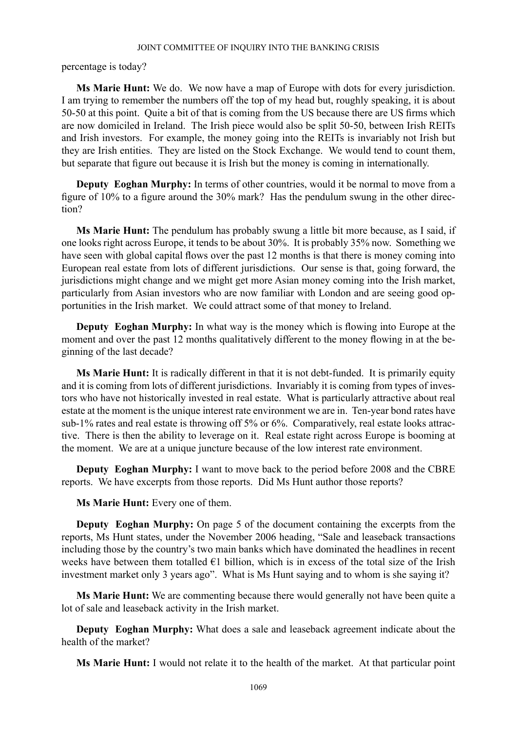percentage is today?

**Ms Marie Hunt:** We do. We now have a map of Europe with dots for every jurisdiction. I am trying to remember the numbers off the top of my head but, roughly speaking, it is about 50-50 at this point. Quite a bit of that is coming from the US because there are US firms which are now domiciled in Ireland. The Irish piece would also be split 50-50, between Irish REITs and Irish investors. For example, the money going into the REITs is invariably not Irish but they are Irish entities. They are listed on the Stock Exchange. We would tend to count them, but separate that figure out because it is Irish but the money is coming in internationally.

**Deputy Eoghan Murphy:** In terms of other countries, would it be normal to move from a figure of 10% to a figure around the 30% mark? Has the pendulum swung in the other direction?

**Ms Marie Hunt:** The pendulum has probably swung a little bit more because, as I said, if one looks right across Europe, it tends to be about 30%. It is probably 35% now. Something we have seen with global capital flows over the past 12 months is that there is money coming into European real estate from lots of different jurisdictions. Our sense is that, going forward, the jurisdictions might change and we might get more Asian money coming into the Irish market, particularly from Asian investors who are now familiar with London and are seeing good opportunities in the Irish market. We could attract some of that money to Ireland.

**Deputy Eoghan Murphy:** In what way is the money which is flowing into Europe at the moment and over the past 12 months qualitatively different to the money flowing in at the beginning of the last decade?

**Ms Marie Hunt:** It is radically different in that it is not debt-funded. It is primarily equity and it is coming from lots of different jurisdictions. Invariably it is coming from types of investors who have not historically invested in real estate. What is particularly attractive about real estate at the moment is the unique interest rate environment we are in. Ten-year bond rates have sub-1% rates and real estate is throwing off 5% or 6%. Comparatively, real estate looks attractive. There is then the ability to leverage on it. Real estate right across Europe is booming at the moment. We are at a unique juncture because of the low interest rate environment.

**Deputy Eoghan Murphy:** I want to move back to the period before 2008 and the CBRE reports. We have excerpts from those reports. Did Ms Hunt author those reports?

**Ms Marie Hunt:** Every one of them.

**Deputy Eoghan Murphy:** On page 5 of the document containing the excerpts from the reports, Ms Hunt states, under the November 2006 heading, "Sale and leaseback transactions including those by the country's two main banks which have dominated the headlines in recent weeks have between them totalled  $\epsilon$ 1 billion, which is in excess of the total size of the Irish investment market only 3 years ago". What is Ms Hunt saying and to whom is she saying it?

**Ms Marie Hunt:** We are commenting because there would generally not have been quite a lot of sale and leaseback activity in the Irish market.

**Deputy Eoghan Murphy:** What does a sale and leaseback agreement indicate about the health of the market?

**Ms Marie Hunt:** I would not relate it to the health of the market. At that particular point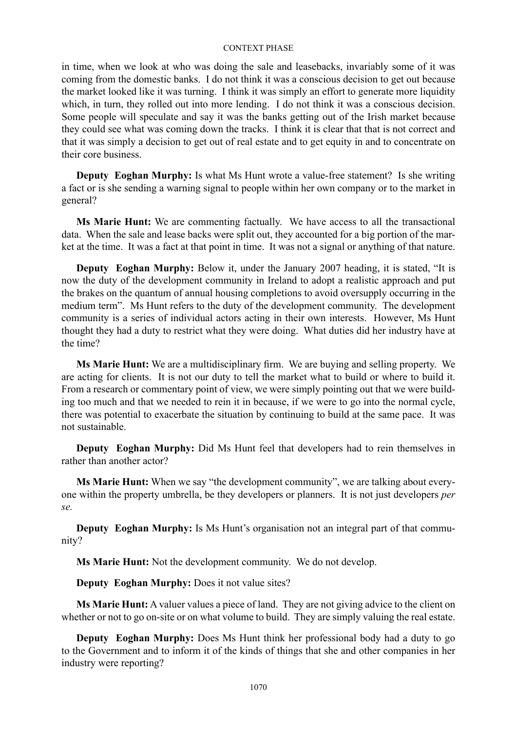in time, when we look at who was doing the sale and leasebacks, invariably some of it was coming from the domestic banks. I do not think it was a conscious decision to get out because the market looked like it was turning. I think it was simply an effort to generate more liquidity which, in turn, they rolled out into more lending. I do not think it was a conscious decision. Some people will speculate and say it was the banks getting out of the Irish market because they could see what was coming down the tracks. I think it is clear that that is not correct and that it was simply a decision to get out of real estate and to get equity in and to concentrate on their core business.

**Deputy Eoghan Murphy:** Is what Ms Hunt wrote a value-free statement? Is she writing a fact or is she sending a warning signal to people within her own company or to the market in general?

**Ms Marie Hunt:** We are commenting factually. We have access to all the transactional data. When the sale and lease backs were split out, they accounted for a big portion of the market at the time. It was a fact at that point in time. It was not a signal or anything of that nature.

**Deputy Eoghan Murphy:** Below it, under the January 2007 heading, it is stated, "It is now the duty of the development community in Ireland to adopt a realistic approach and put the brakes on the quantum of annual housing completions to avoid oversupply occurring in the medium term". Ms Hunt refers to the duty of the development community. The development community is a series of individual actors acting in their own interests. However, Ms Hunt thought they had a duty to restrict what they were doing. What duties did her industry have at the time?

**Ms Marie Hunt:** We are a multidisciplinary firm. We are buying and selling property. We are acting for clients. It is not our duty to tell the market what to build or where to build it. From a research or commentary point of view, we were simply pointing out that we were building too much and that we needed to rein it in because, if we were to go into the normal cycle, there was potential to exacerbate the situation by continuing to build at the same pace. It was not sustainable.

**Deputy Eoghan Murphy:** Did Ms Hunt feel that developers had to rein themselves in rather than another actor?

**Ms Marie Hunt:** When we say "the development community", we are talking about everyone within the property umbrella, be they developers or planners. It is not just developers *per se.*

**Deputy Eoghan Murphy:** Is Ms Hunt's organisation not an integral part of that community?

**Ms Marie Hunt:** Not the development community. We do not develop.

**Deputy Eoghan Murphy:** Does it not value sites?

**Ms Marie Hunt:** A valuer values a piece of land. They are not giving advice to the client on whether or not to go on-site or on what volume to build. They are simply valuing the real estate.

**Deputy Eoghan Murphy:** Does Ms Hunt think her professional body had a duty to go to the Government and to inform it of the kinds of things that she and other companies in her industry were reporting?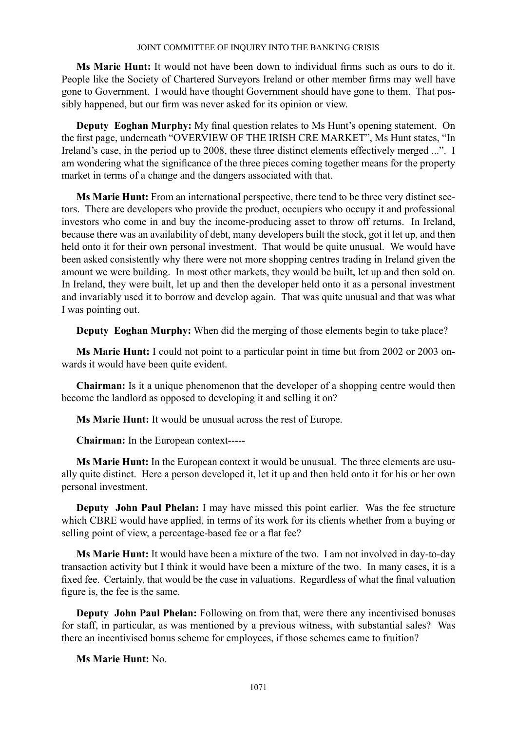**Ms Marie Hunt:** It would not have been down to individual firms such as ours to do it. People like the Society of Chartered Surveyors Ireland or other member firms may well have gone to Government. I would have thought Government should have gone to them. That possibly happened, but our firm was never asked for its opinion or view.

**Deputy Eoghan Murphy:** My final question relates to Ms Hunt's opening statement. On the first page, underneath "OVERVIEW OF THE IRISH CRE MARKET", Ms Hunt states, "In Ireland's case, in the period up to 2008, these three distinct elements effectively merged ...". I am wondering what the significance of the three pieces coming together means for the property market in terms of a change and the dangers associated with that.

**Ms Marie Hunt:** From an international perspective, there tend to be three very distinct sectors. There are developers who provide the product, occupiers who occupy it and professional investors who come in and buy the income-producing asset to throw off returns. In Ireland, because there was an availability of debt, many developers built the stock, got it let up, and then held onto it for their own personal investment. That would be quite unusual. We would have been asked consistently why there were not more shopping centres trading in Ireland given the amount we were building. In most other markets, they would be built, let up and then sold on. In Ireland, they were built, let up and then the developer held onto it as a personal investment and invariably used it to borrow and develop again. That was quite unusual and that was what I was pointing out.

**Deputy Eoghan Murphy:** When did the merging of those elements begin to take place?

**Ms Marie Hunt:** I could not point to a particular point in time but from 2002 or 2003 onwards it would have been quite evident.

**Chairman:** Is it a unique phenomenon that the developer of a shopping centre would then become the landlord as opposed to developing it and selling it on?

**Ms Marie Hunt:** It would be unusual across the rest of Europe.

**Chairman:** In the European context-----

**Ms Marie Hunt:** In the European context it would be unusual. The three elements are usually quite distinct. Here a person developed it, let it up and then held onto it for his or her own personal investment.

**Deputy John Paul Phelan:** I may have missed this point earlier. Was the fee structure which CBRE would have applied, in terms of its work for its clients whether from a buying or selling point of view, a percentage-based fee or a flat fee?

**Ms Marie Hunt:** It would have been a mixture of the two. I am not involved in day-to-day transaction activity but I think it would have been a mixture of the two. In many cases, it is a fixed fee. Certainly, that would be the case in valuations. Regardless of what the final valuation figure is, the fee is the same.

**Deputy John Paul Phelan:** Following on from that, were there any incentivised bonuses for staff, in particular, as was mentioned by a previous witness, with substantial sales? Was there an incentivised bonus scheme for employees, if those schemes came to fruition?

**Ms Marie Hunt:** No.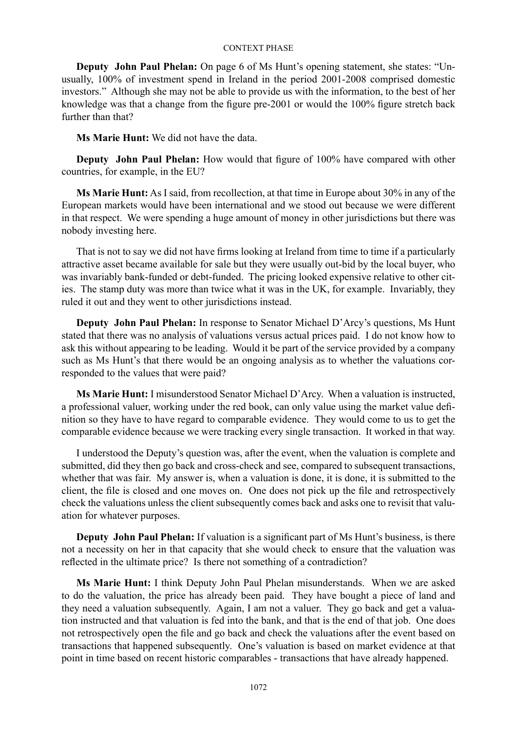**Deputy John Paul Phelan:** On page 6 of Ms Hunt's opening statement, she states: "Unusually, 100% of investment spend in Ireland in the period 2001-2008 comprised domestic investors." Although she may not be able to provide us with the information, to the best of her knowledge was that a change from the figure pre-2001 or would the 100% figure stretch back further than that?

**Ms Marie Hunt:** We did not have the data.

**Deputy John Paul Phelan:** How would that figure of 100% have compared with other countries, for example, in the EU?

**Ms Marie Hunt:** As I said, from recollection, at that time in Europe about 30% in any of the European markets would have been international and we stood out because we were different in that respect. We were spending a huge amount of money in other jurisdictions but there was nobody investing here.

That is not to say we did not have firms looking at Ireland from time to time if a particularly attractive asset became available for sale but they were usually out-bid by the local buyer, who was invariably bank-funded or debt-funded. The pricing looked expensive relative to other cities. The stamp duty was more than twice what it was in the UK, for example. Invariably, they ruled it out and they went to other jurisdictions instead.

**Deputy John Paul Phelan:** In response to Senator Michael D'Arcy's questions, Ms Hunt stated that there was no analysis of valuations versus actual prices paid. I do not know how to ask this without appearing to be leading. Would it be part of the service provided by a company such as Ms Hunt's that there would be an ongoing analysis as to whether the valuations corresponded to the values that were paid?

**Ms Marie Hunt:** I misunderstood Senator Michael D'Arcy. When a valuation is instructed, a professional valuer, working under the red book, can only value using the market value definition so they have to have regard to comparable evidence. They would come to us to get the comparable evidence because we were tracking every single transaction. It worked in that way.

I understood the Deputy's question was, after the event, when the valuation is complete and submitted, did they then go back and cross-check and see, compared to subsequent transactions, whether that was fair. My answer is, when a valuation is done, it is done, it is submitted to the client, the file is closed and one moves on. One does not pick up the file and retrospectively check the valuations unless the client subsequently comes back and asks one to revisit that valuation for whatever purposes.

**Deputy John Paul Phelan:** If valuation is a significant part of Ms Hunt's business, is there not a necessity on her in that capacity that she would check to ensure that the valuation was reflected in the ultimate price? Is there not something of a contradiction?

**Ms Marie Hunt:** I think Deputy John Paul Phelan misunderstands. When we are asked to do the valuation, the price has already been paid. They have bought a piece of land and they need a valuation subsequently. Again, I am not a valuer. They go back and get a valuation instructed and that valuation is fed into the bank, and that is the end of that job. One does not retrospectively open the file and go back and check the valuations after the event based on transactions that happened subsequently. One's valuation is based on market evidence at that point in time based on recent historic comparables - transactions that have already happened.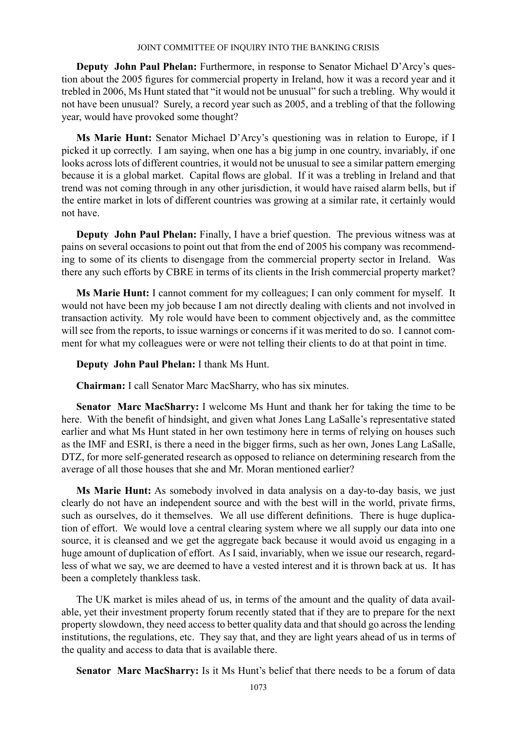**Deputy John Paul Phelan:** Furthermore, in response to Senator Michael D'Arcy's question about the 2005 figures for commercial property in Ireland, how it was a record year and it trebled in 2006, Ms Hunt stated that "it would not be unusual" for such a trebling. Why would it not have been unusual? Surely, a record year such as 2005, and a trebling of that the following year, would have provoked some thought?

**Ms Marie Hunt:** Senator Michael D'Arcy's questioning was in relation to Europe, if I picked it up correctly. I am saying, when one has a big jump in one country, invariably, if one looks across lots of different countries, it would not be unusual to see a similar pattern emerging because it is a global market. Capital flows are global. If it was a trebling in Ireland and that trend was not coming through in any other jurisdiction, it would have raised alarm bells, but if the entire market in lots of different countries was growing at a similar rate, it certainly would not have.

**Deputy John Paul Phelan:** Finally, I have a brief question. The previous witness was at pains on several occasions to point out that from the end of 2005 his company was recommending to some of its clients to disengage from the commercial property sector in Ireland. Was there any such efforts by CBRE in terms of its clients in the Irish commercial property market?

**Ms Marie Hunt:** I cannot comment for my colleagues; I can only comment for myself. It would not have been my job because I am not directly dealing with clients and not involved in transaction activity. My role would have been to comment objectively and, as the committee will see from the reports, to issue warnings or concerns if it was merited to do so. I cannot comment for what my colleagues were or were not telling their clients to do at that point in time.

# **Deputy John Paul Phelan:** I thank Ms Hunt.

**Chairman:** I call Senator Marc MacSharry, who has six minutes.

**Senator Marc MacSharry:** I welcome Ms Hunt and thank her for taking the time to be here. With the benefit of hindsight, and given what Jones Lang LaSalle's representative stated earlier and what Ms Hunt stated in her own testimony here in terms of relying on houses such as the IMF and ESRI, is there a need in the bigger firms, such as her own, Jones Lang LaSalle, DTZ, for more self-generated research as opposed to reliance on determining research from the average of all those houses that she and Mr. Moran mentioned earlier?

**Ms Marie Hunt:** As somebody involved in data analysis on a day-to-day basis, we just clearly do not have an independent source and with the best will in the world, private firms, such as ourselves, do it themselves. We all use different definitions. There is huge duplication of effort. We would love a central clearing system where we all supply our data into one source, it is cleansed and we get the aggregate back because it would avoid us engaging in a huge amount of duplication of effort. As I said, invariably, when we issue our research, regardless of what we say, we are deemed to have a vested interest and it is thrown back at us. It has been a completely thankless task.

The UK market is miles ahead of us, in terms of the amount and the quality of data available, yet their investment property forum recently stated that if they are to prepare for the next property slowdown, they need access to better quality data and that should go across the lending institutions, the regulations, etc. They say that, and they are light years ahead of us in terms of the quality and access to data that is available there.

**Senator Marc MacSharry:** Is it Ms Hunt's belief that there needs to be a forum of data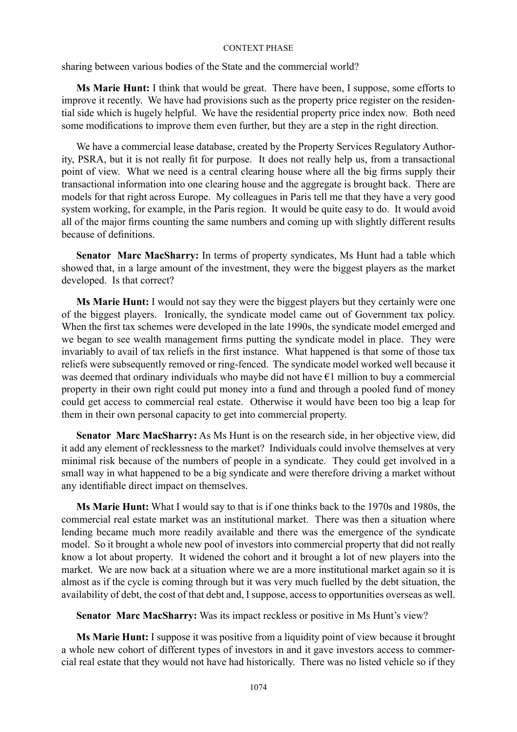sharing between various bodies of the State and the commercial world?

**Ms Marie Hunt:** I think that would be great. There have been, I suppose, some efforts to improve it recently. We have had provisions such as the property price register on the residential side which is hugely helpful. We have the residential property price index now. Both need some modifications to improve them even further, but they are a step in the right direction.

We have a commercial lease database, created by the Property Services Regulatory Authority, PSRA, but it is not really fit for purpose. It does not really help us, from a transactional point of view. What we need is a central clearing house where all the big firms supply their transactional information into one clearing house and the aggregate is brought back. There are models for that right across Europe. My colleagues in Paris tell me that they have a very good system working, for example, in the Paris region. It would be quite easy to do. It would avoid all of the major firms counting the same numbers and coming up with slightly different results because of definitions.

**Senator Marc MacSharry:** In terms of property syndicates, Ms Hunt had a table which showed that, in a large amount of the investment, they were the biggest players as the market developed. Is that correct?

**Ms Marie Hunt:** I would not say they were the biggest players but they certainly were one of the biggest players. Ironically, the syndicate model came out of Government tax policy. When the first tax schemes were developed in the late 1990s, the syndicate model emerged and we began to see wealth management firms putting the syndicate model in place. They were invariably to avail of tax reliefs in the first instance. What happened is that some of those tax reliefs were subsequently removed or ring-fenced. The syndicate model worked well because it was deemed that ordinary individuals who maybe did not have €1 million to buy a commercial property in their own right could put money into a fund and through a pooled fund of money could get access to commercial real estate. Otherwise it would have been too big a leap for them in their own personal capacity to get into commercial property.

**Senator Marc MacSharry:** As Ms Hunt is on the research side, in her objective view, did it add any element of recklessness to the market? Individuals could involve themselves at very minimal risk because of the numbers of people in a syndicate. They could get involved in a small way in what happened to be a big syndicate and were therefore driving a market without any identifiable direct impact on themselves.

**Ms Marie Hunt:** What I would say to that is if one thinks back to the 1970s and 1980s, the commercial real estate market was an institutional market. There was then a situation where lending became much more readily available and there was the emergence of the syndicate model. So it brought a whole new pool of investors into commercial property that did not really know a lot about property. It widened the cohort and it brought a lot of new players into the market. We are now back at a situation where we are a more institutional market again so it is almost as if the cycle is coming through but it was very much fuelled by the debt situation, the availability of debt, the cost of that debt and, I suppose, access to opportunities overseas as well.

**Senator Marc MacSharry:** Was its impact reckless or positive in Ms Hunt's view?

**Ms Marie Hunt:** I suppose it was positive from a liquidity point of view because it brought a whole new cohort of different types of investors in and it gave investors access to commercial real estate that they would not have had historically. There was no listed vehicle so if they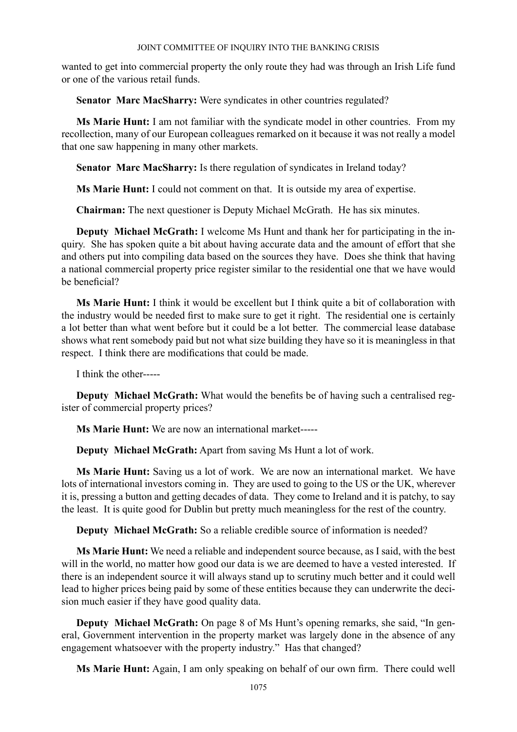wanted to get into commercial property the only route they had was through an Irish Life fund or one of the various retail funds.

**Senator Marc MacSharry:** Were syndicates in other countries regulated?

**Ms Marie Hunt:** I am not familiar with the syndicate model in other countries. From my recollection, many of our European colleagues remarked on it because it was not really a model that one saw happening in many other markets.

**Senator Marc MacSharry:** Is there regulation of syndicates in Ireland today?

**Ms Marie Hunt:** I could not comment on that. It is outside my area of expertise.

**Chairman:** The next questioner is Deputy Michael McGrath. He has six minutes.

**Deputy Michael McGrath:** I welcome Ms Hunt and thank her for participating in the inquiry. She has spoken quite a bit about having accurate data and the amount of effort that she and others put into compiling data based on the sources they have. Does she think that having a national commercial property price register similar to the residential one that we have would be beneficial?

**Ms Marie Hunt:** I think it would be excellent but I think quite a bit of collaboration with the industry would be needed first to make sure to get it right. The residential one is certainly a lot better than what went before but it could be a lot better. The commercial lease database shows what rent somebody paid but not what size building they have so it is meaningless in that respect. I think there are modifications that could be made.

I think the other-----

**Deputy Michael McGrath:** What would the benefits be of having such a centralised register of commercial property prices?

**Ms Marie Hunt:** We are now an international market-----

**Deputy Michael McGrath:** Apart from saving Ms Hunt a lot of work.

**Ms Marie Hunt:** Saving us a lot of work. We are now an international market. We have lots of international investors coming in. They are used to going to the US or the UK, wherever it is, pressing a button and getting decades of data. They come to Ireland and it is patchy, to say the least. It is quite good for Dublin but pretty much meaningless for the rest of the country.

**Deputy Michael McGrath:** So a reliable credible source of information is needed?

**Ms Marie Hunt:** We need a reliable and independent source because, as I said, with the best will in the world, no matter how good our data is we are deemed to have a vested interested. If there is an independent source it will always stand up to scrutiny much better and it could well lead to higher prices being paid by some of these entities because they can underwrite the decision much easier if they have good quality data.

**Deputy Michael McGrath:** On page 8 of Ms Hunt's opening remarks, she said, "In general, Government intervention in the property market was largely done in the absence of any engagement whatsoever with the property industry." Has that changed?

**Ms Marie Hunt:** Again, I am only speaking on behalf of our own firm. There could well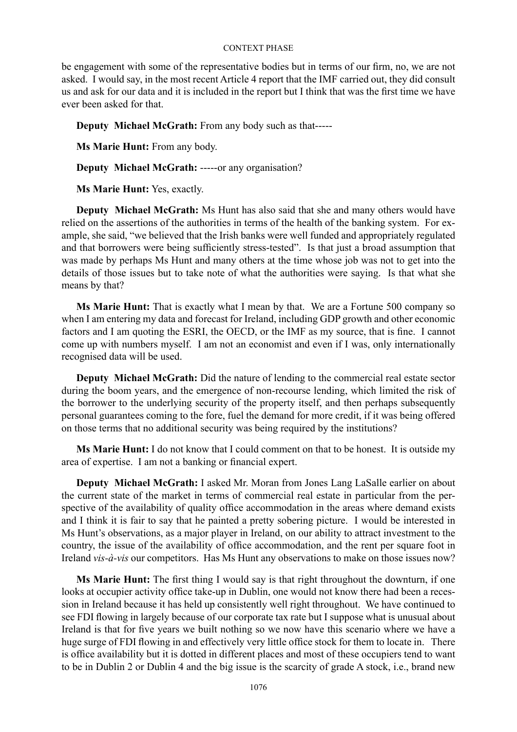be engagement with some of the representative bodies but in terms of our firm, no, we are not asked. I would say, in the most recent Article 4 report that the IMF carried out, they did consult us and ask for our data and it is included in the report but I think that was the first time we have ever been asked for that.

**Deputy Michael McGrath:** From any body such as that-----

**Ms Marie Hunt:** From any body.

**Deputy Michael McGrath:** -----or any organisation?

**Ms Marie Hunt:** Yes, exactly.

**Deputy Michael McGrath:** Ms Hunt has also said that she and many others would have relied on the assertions of the authorities in terms of the health of the banking system. For example, she said, "we believed that the Irish banks were well funded and appropriately regulated and that borrowers were being sufficiently stress-tested". Is that just a broad assumption that was made by perhaps Ms Hunt and many others at the time whose job was not to get into the details of those issues but to take note of what the authorities were saying. Is that what she means by that?

**Ms Marie Hunt:** That is exactly what I mean by that. We are a Fortune 500 company so when I am entering my data and forecast for Ireland, including GDP growth and other economic factors and I am quoting the ESRI, the OECD, or the IMF as my source, that is fine. I cannot come up with numbers myself. I am not an economist and even if I was, only internationally recognised data will be used.

**Deputy Michael McGrath:** Did the nature of lending to the commercial real estate sector during the boom years, and the emergence of non-recourse lending, which limited the risk of the borrower to the underlying security of the property itself, and then perhaps subsequently personal guarantees coming to the fore, fuel the demand for more credit, if it was being offered on those terms that no additional security was being required by the institutions?

**Ms Marie Hunt:** I do not know that I could comment on that to be honest. It is outside my area of expertise. I am not a banking or financial expert.

**Deputy Michael McGrath:** I asked Mr. Moran from Jones Lang LaSalle earlier on about the current state of the market in terms of commercial real estate in particular from the perspective of the availability of quality office accommodation in the areas where demand exists and I think it is fair to say that he painted a pretty sobering picture. I would be interested in Ms Hunt's observations, as a major player in Ireland, on our ability to attract investment to the country, the issue of the availability of office accommodation, and the rent per square foot in Ireland *vis-à-vis* our competitors. Has Ms Hunt any observations to make on those issues now?

**Ms Marie Hunt:** The first thing I would say is that right throughout the downturn, if one looks at occupier activity office take-up in Dublin, one would not know there had been a recession in Ireland because it has held up consistently well right throughout. We have continued to see FDI flowing in largely because of our corporate tax rate but I suppose what is unusual about Ireland is that for five years we built nothing so we now have this scenario where we have a huge surge of FDI flowing in and effectively very little office stock for them to locate in. There is office availability but it is dotted in different places and most of these occupiers tend to want to be in Dublin 2 or Dublin 4 and the big issue is the scarcity of grade A stock, i.e., brand new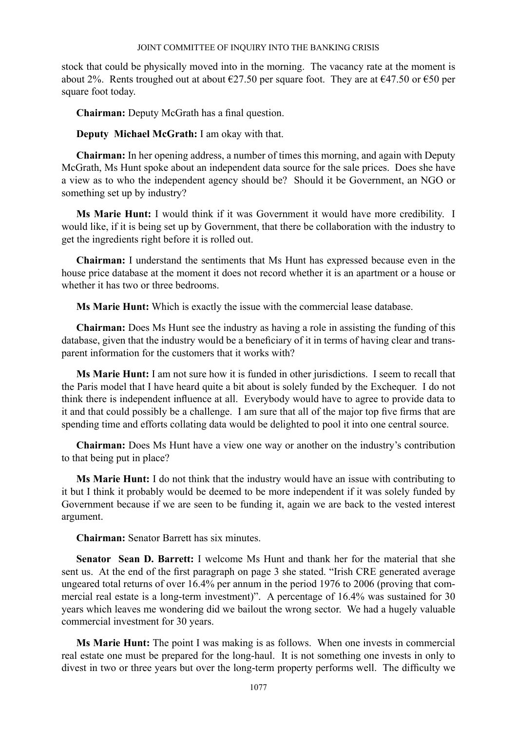stock that could be physically moved into in the morning. The vacancy rate at the moment is about 2%. Rents troughed out at about  $\epsilon$ 27.50 per square foot. They are at  $\epsilon$ 47.50 or  $\epsilon$ 50 per square foot today.

**Chairman:** Deputy McGrath has a final question.

**Deputy Michael McGrath:** I am okay with that.

**Chairman:** In her opening address, a number of times this morning, and again with Deputy McGrath, Ms Hunt spoke about an independent data source for the sale prices. Does she have a view as to who the independent agency should be? Should it be Government, an NGO or something set up by industry?

**Ms Marie Hunt:** I would think if it was Government it would have more credibility. I would like, if it is being set up by Government, that there be collaboration with the industry to get the ingredients right before it is rolled out.

**Chairman:** I understand the sentiments that Ms Hunt has expressed because even in the house price database at the moment it does not record whether it is an apartment or a house or whether it has two or three bedrooms.

**Ms Marie Hunt:** Which is exactly the issue with the commercial lease database.

**Chairman:** Does Ms Hunt see the industry as having a role in assisting the funding of this database, given that the industry would be a beneficiary of it in terms of having clear and transparent information for the customers that it works with?

**Ms Marie Hunt:** I am not sure how it is funded in other jurisdictions. I seem to recall that the Paris model that I have heard quite a bit about is solely funded by the Exchequer. I do not think there is independent influence at all. Everybody would have to agree to provide data to it and that could possibly be a challenge. I am sure that all of the major top five firms that are spending time and efforts collating data would be delighted to pool it into one central source.

**Chairman:** Does Ms Hunt have a view one way or another on the industry's contribution to that being put in place?

**Ms Marie Hunt:** I do not think that the industry would have an issue with contributing to it but I think it probably would be deemed to be more independent if it was solely funded by Government because if we are seen to be funding it, again we are back to the vested interest argument.

**Chairman:** Senator Barrett has six minutes.

**Senator Sean D. Barrett:** I welcome Ms Hunt and thank her for the material that she sent us. At the end of the first paragraph on page 3 she stated. "Irish CRE generated average ungeared total returns of over 16.4% per annum in the period 1976 to 2006 (proving that commercial real estate is a long-term investment)". A percentage of 16.4% was sustained for 30 years which leaves me wondering did we bailout the wrong sector. We had a hugely valuable commercial investment for 30 years.

**Ms Marie Hunt:** The point I was making is as follows. When one invests in commercial real estate one must be prepared for the long-haul. It is not something one invests in only to divest in two or three years but over the long-term property performs well. The difficulty we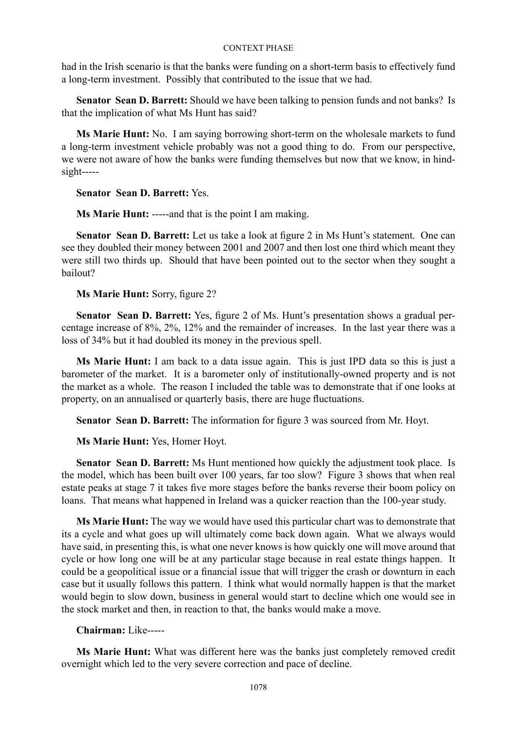had in the Irish scenario is that the banks were funding on a short-term basis to effectively fund a long-term investment. Possibly that contributed to the issue that we had.

**Senator Sean D. Barrett:** Should we have been talking to pension funds and not banks? Is that the implication of what Ms Hunt has said?

**Ms Marie Hunt:** No. I am saying borrowing short-term on the wholesale markets to fund a long-term investment vehicle probably was not a good thing to do. From our perspective, we were not aware of how the banks were funding themselves but now that we know, in hindsight-----

**Senator Sean D. Barrett:** Yes.

**Ms Marie Hunt:** -----and that is the point I am making.

**Senator Sean D. Barrett:** Let us take a look at figure 2 in Ms Hunt's statement. One can see they doubled their money between 2001 and 2007 and then lost one third which meant they were still two thirds up. Should that have been pointed out to the sector when they sought a bailout?

**Ms Marie Hunt:** Sorry, figure 2?

**Senator Sean D. Barrett:** Yes, figure 2 of Ms. Hunt's presentation shows a gradual percentage increase of 8%, 2%, 12% and the remainder of increases. In the last year there was a loss of 34% but it had doubled its money in the previous spell.

**Ms Marie Hunt:** I am back to a data issue again. This is just IPD data so this is just a barometer of the market. It is a barometer only of institutionally-owned property and is not the market as a whole. The reason I included the table was to demonstrate that if one looks at property, on an annualised or quarterly basis, there are huge fluctuations.

**Senator Sean D. Barrett:** The information for figure 3 was sourced from Mr. Hoyt.

**Ms Marie Hunt:** Yes, Homer Hoyt.

**Senator Sean D. Barrett:** Ms Hunt mentioned how quickly the adjustment took place. Is the model, which has been built over 100 years, far too slow? Figure 3 shows that when real estate peaks at stage 7 it takes five more stages before the banks reverse their boom policy on loans. That means what happened in Ireland was a quicker reaction than the 100-year study.

**Ms Marie Hunt:** The way we would have used this particular chart was to demonstrate that its a cycle and what goes up will ultimately come back down again. What we always would have said, in presenting this, is what one never knows is how quickly one will move around that cycle or how long one will be at any particular stage because in real estate things happen. It could be a geopolitical issue or a financial issue that will trigger the crash or downturn in each case but it usually follows this pattern. I think what would normally happen is that the market would begin to slow down, business in general would start to decline which one would see in the stock market and then, in reaction to that, the banks would make a move.

# **Chairman:** Like-----

**Ms Marie Hunt:** What was different here was the banks just completely removed credit overnight which led to the very severe correction and pace of decline.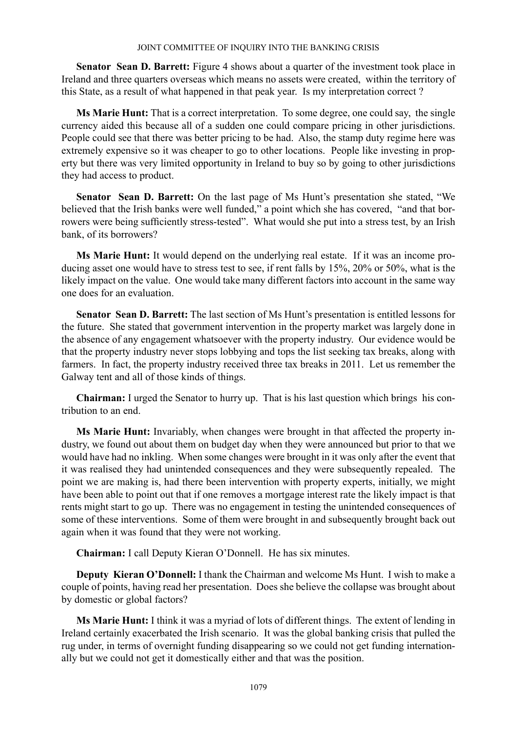**Senator Sean D. Barrett:** Figure 4 shows about a quarter of the investment took place in Ireland and three quarters overseas which means no assets were created, within the territory of this State, as a result of what happened in that peak year. Is my interpretation correct ?

**Ms Marie Hunt:** That is a correct interpretation. To some degree, one could say, the single currency aided this because all of a sudden one could compare pricing in other jurisdictions. People could see that there was better pricing to be had. Also, the stamp duty regime here was extremely expensive so it was cheaper to go to other locations. People like investing in property but there was very limited opportunity in Ireland to buy so by going to other jurisdictions they had access to product.

**Senator Sean D. Barrett:** On the last page of Ms Hunt's presentation she stated, "We believed that the Irish banks were well funded," a point which she has covered, "and that borrowers were being sufficiently stress-tested". What would she put into a stress test, by an Irish bank, of its borrowers?

**Ms Marie Hunt:** It would depend on the underlying real estate. If it was an income producing asset one would have to stress test to see, if rent falls by 15%, 20% or 50%, what is the likely impact on the value. One would take many different factors into account in the same way one does for an evaluation.

**Senator Sean D. Barrett:** The last section of Ms Hunt's presentation is entitled lessons for the future. She stated that government intervention in the property market was largely done in the absence of any engagement whatsoever with the property industry. Our evidence would be that the property industry never stops lobbying and tops the list seeking tax breaks, along with farmers. In fact, the property industry received three tax breaks in 2011. Let us remember the Galway tent and all of those kinds of things.

**Chairman:** I urged the Senator to hurry up. That is his last question which brings his contribution to an end.

**Ms Marie Hunt:** Invariably, when changes were brought in that affected the property industry, we found out about them on budget day when they were announced but prior to that we would have had no inkling. When some changes were brought in it was only after the event that it was realised they had unintended consequences and they were subsequently repealed. The point we are making is, had there been intervention with property experts, initially, we might have been able to point out that if one removes a mortgage interest rate the likely impact is that rents might start to go up. There was no engagement in testing the unintended consequences of some of these interventions. Some of them were brought in and subsequently brought back out again when it was found that they were not working.

**Chairman:** I call Deputy Kieran O'Donnell. He has six minutes.

**Deputy Kieran O'Donnell:** I thank the Chairman and welcome Ms Hunt. I wish to make a couple of points, having read her presentation. Does she believe the collapse was brought about by domestic or global factors?

**Ms Marie Hunt:** I think it was a myriad of lots of different things. The extent of lending in Ireland certainly exacerbated the Irish scenario. It was the global banking crisis that pulled the rug under, in terms of overnight funding disappearing so we could not get funding internationally but we could not get it domestically either and that was the position.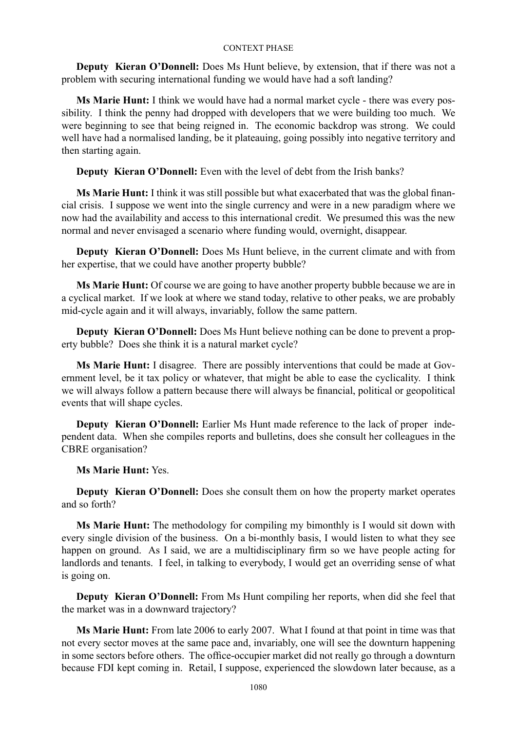**Deputy Kieran O'Donnell:** Does Ms Hunt believe, by extension, that if there was not a problem with securing international funding we would have had a soft landing?

**Ms Marie Hunt:** I think we would have had a normal market cycle - there was every possibility. I think the penny had dropped with developers that we were building too much. We were beginning to see that being reigned in. The economic backdrop was strong. We could well have had a normalised landing, be it plateauing, going possibly into negative territory and then starting again.

**Deputy Kieran O'Donnell:** Even with the level of debt from the Irish banks?

**Ms Marie Hunt:** I think it was still possible but what exacerbated that was the global financial crisis. I suppose we went into the single currency and were in a new paradigm where we now had the availability and access to this international credit. We presumed this was the new normal and never envisaged a scenario where funding would, overnight, disappear.

**Deputy Kieran O'Donnell:** Does Ms Hunt believe, in the current climate and with from her expertise, that we could have another property bubble?

**Ms Marie Hunt:** Of course we are going to have another property bubble because we are in a cyclical market. If we look at where we stand today, relative to other peaks, we are probably mid-cycle again and it will always, invariably, follow the same pattern.

**Deputy Kieran O'Donnell:** Does Ms Hunt believe nothing can be done to prevent a property bubble? Does she think it is a natural market cycle?

**Ms Marie Hunt:** I disagree. There are possibly interventions that could be made at Government level, be it tax policy or whatever, that might be able to ease the cyclicality. I think we will always follow a pattern because there will always be financial, political or geopolitical events that will shape cycles.

**Deputy Kieran O'Donnell:** Earlier Ms Hunt made reference to the lack of proper independent data. When she compiles reports and bulletins, does she consult her colleagues in the CBRE organisation?

**Ms Marie Hunt:** Yes.

**Deputy Kieran O'Donnell:** Does she consult them on how the property market operates and so forth?

**Ms Marie Hunt:** The methodology for compiling my bimonthly is I would sit down with every single division of the business. On a bi-monthly basis, I would listen to what they see happen on ground. As I said, we are a multidisciplinary firm so we have people acting for landlords and tenants. I feel, in talking to everybody, I would get an overriding sense of what is going on.

**Deputy Kieran O'Donnell:** From Ms Hunt compiling her reports, when did she feel that the market was in a downward trajectory?

**Ms Marie Hunt:** From late 2006 to early 2007. What I found at that point in time was that not every sector moves at the same pace and, invariably, one will see the downturn happening in some sectors before others. The office-occupier market did not really go through a downturn because FDI kept coming in. Retail, I suppose, experienced the slowdown later because, as a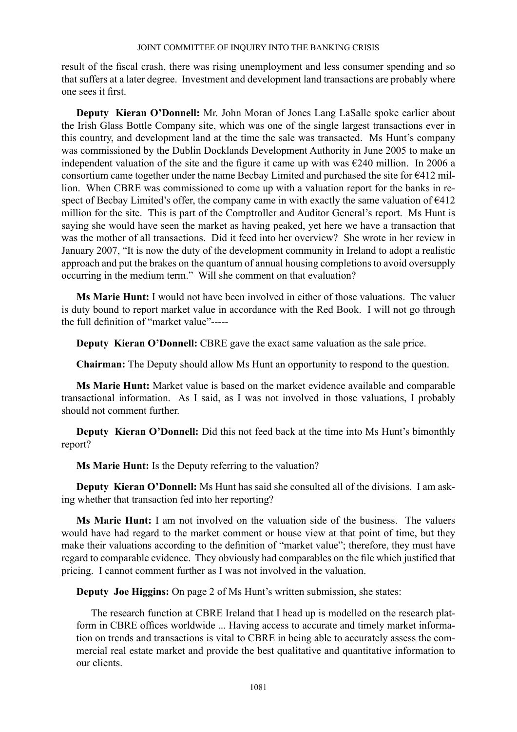result of the fiscal crash, there was rising unemployment and less consumer spending and so that suffers at a later degree. Investment and development land transactions are probably where one sees it first.

**Deputy Kieran O'Donnell:** Mr. John Moran of Jones Lang LaSalle spoke earlier about the Irish Glass Bottle Company site, which was one of the single largest transactions ever in this country, and development land at the time the sale was transacted. Ms Hunt's company was commissioned by the Dublin Docklands Development Authority in June 2005 to make an independent valuation of the site and the figure it came up with was  $\epsilon$ 240 million. In 2006 a consortium came together under the name Becbay Limited and purchased the site for €412 million. When CBRE was commissioned to come up with a valuation report for the banks in respect of Becbay Limited's offer, the company came in with exactly the same valuation of  $6412$ million for the site. This is part of the Comptroller and Auditor General's report. Ms Hunt is saying she would have seen the market as having peaked, yet here we have a transaction that was the mother of all transactions. Did it feed into her overview? She wrote in her review in January 2007, "It is now the duty of the development community in Ireland to adopt a realistic approach and put the brakes on the quantum of annual housing completions to avoid oversupply occurring in the medium term." Will she comment on that evaluation?

**Ms Marie Hunt:** I would not have been involved in either of those valuations. The valuer is duty bound to report market value in accordance with the Red Book. I will not go through the full definition of "market value"-----

**Deputy Kieran O'Donnell:** CBRE gave the exact same valuation as the sale price.

**Chairman:** The Deputy should allow Ms Hunt an opportunity to respond to the question.

**Ms Marie Hunt:** Market value is based on the market evidence available and comparable transactional information. As I said, as I was not involved in those valuations, I probably should not comment further.

**Deputy Kieran O'Donnell:** Did this not feed back at the time into Ms Hunt's bimonthly report?

**Ms Marie Hunt:** Is the Deputy referring to the valuation?

**Deputy Kieran O'Donnell:** Ms Hunt has said she consulted all of the divisions. I am asking whether that transaction fed into her reporting?

**Ms Marie Hunt:** I am not involved on the valuation side of the business. The valuers would have had regard to the market comment or house view at that point of time, but they make their valuations according to the definition of "market value"; therefore, they must have regard to comparable evidence. They obviously had comparables on the file which justified that pricing. I cannot comment further as I was not involved in the valuation.

**Deputy Joe Higgins:** On page 2 of Ms Hunt's written submission, she states:

The research function at CBRE Ireland that I head up is modelled on the research platform in CBRE offices worldwide ... Having access to accurate and timely market information on trends and transactions is vital to CBRE in being able to accurately assess the commercial real estate market and provide the best qualitative and quantitative information to our clients.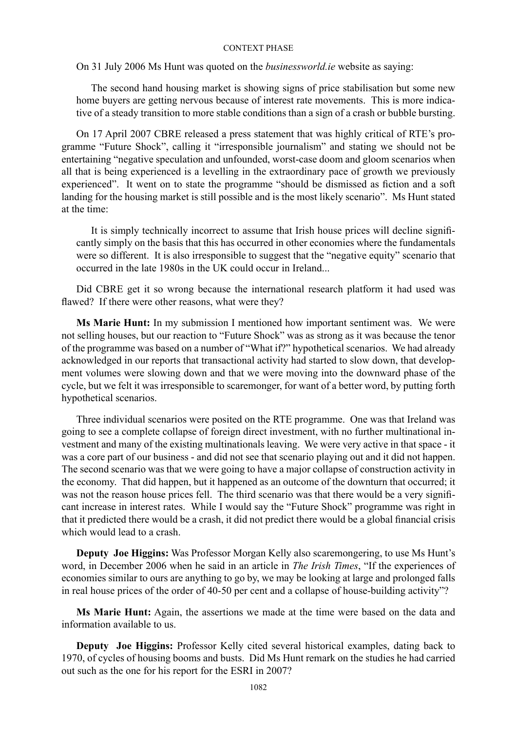On 31 July 2006 Ms Hunt was quoted on the *businessworld.ie* website as saying:

The second hand housing market is showing signs of price stabilisation but some new home buyers are getting nervous because of interest rate movements. This is more indicative of a steady transition to more stable conditions than a sign of a crash or bubble bursting.

On 17 April 2007 CBRE released a press statement that was highly critical of RTE's programme "Future Shock", calling it "irresponsible journalism" and stating we should not be entertaining "negative speculation and unfounded, worst-case doom and gloom scenarios when all that is being experienced is a levelling in the extraordinary pace of growth we previously experienced". It went on to state the programme "should be dismissed as fiction and a soft landing for the housing market is still possible and is the most likely scenario". Ms Hunt stated at the time:

It is simply technically incorrect to assume that Irish house prices will decline significantly simply on the basis that this has occurred in other economies where the fundamentals were so different. It is also irresponsible to suggest that the "negative equity" scenario that occurred in the late 1980s in the UK could occur in Ireland...

Did CBRE get it so wrong because the international research platform it had used was flawed? If there were other reasons, what were they?

**Ms Marie Hunt:** In my submission I mentioned how important sentiment was. We were not selling houses, but our reaction to "Future Shock" was as strong as it was because the tenor of the programme was based on a number of "What if?" hypothetical scenarios. We had already acknowledged in our reports that transactional activity had started to slow down, that development volumes were slowing down and that we were moving into the downward phase of the cycle, but we felt it was irresponsible to scaremonger, for want of a better word, by putting forth hypothetical scenarios.

Three individual scenarios were posited on the RTE programme. One was that Ireland was going to see a complete collapse of foreign direct investment, with no further multinational investment and many of the existing multinationals leaving. We were very active in that space - it was a core part of our business - and did not see that scenario playing out and it did not happen. The second scenario was that we were going to have a major collapse of construction activity in the economy. That did happen, but it happened as an outcome of the downturn that occurred; it was not the reason house prices fell. The third scenario was that there would be a very significant increase in interest rates. While I would say the "Future Shock" programme was right in that it predicted there would be a crash, it did not predict there would be a global financial crisis which would lead to a crash.

**Deputy Joe Higgins:** Was Professor Morgan Kelly also scaremongering, to use Ms Hunt's word, in December 2006 when he said in an article in *The Irish Times*, "If the experiences of economies similar to ours are anything to go by, we may be looking at large and prolonged falls in real house prices of the order of 40-50 per cent and a collapse of house-building activity"?

**Ms Marie Hunt:** Again, the assertions we made at the time were based on the data and information available to us.

**Deputy Joe Higgins:** Professor Kelly cited several historical examples, dating back to 1970, of cycles of housing booms and busts. Did Ms Hunt remark on the studies he had carried out such as the one for his report for the ESRI in 2007?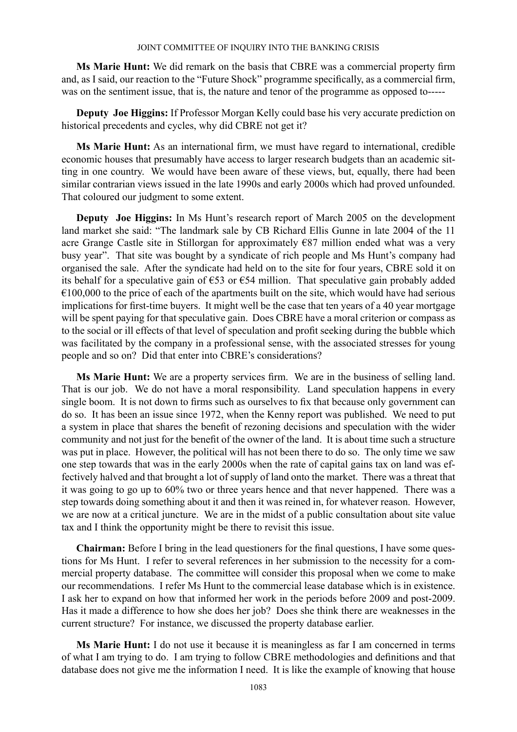**Ms Marie Hunt:** We did remark on the basis that CBRE was a commercial property firm and, as I said, our reaction to the "Future Shock" programme specifically, as a commercial firm, was on the sentiment issue, that is, the nature and tenor of the programme as opposed to-----

**Deputy Joe Higgins:** If Professor Morgan Kelly could base his very accurate prediction on historical precedents and cycles, why did CBRE not get it?

**Ms Marie Hunt:** As an international firm, we must have regard to international, credible economic houses that presumably have access to larger research budgets than an academic sitting in one country. We would have been aware of these views, but, equally, there had been similar contrarian views issued in the late 1990s and early 2000s which had proved unfounded. That coloured our judgment to some extent.

**Deputy Joe Higgins:** In Ms Hunt's research report of March 2005 on the development land market she said: "The landmark sale by CB Richard Ellis Gunne in late 2004 of the 11 acre Grange Castle site in Stillorgan for approximately €87 million ended what was a very busy year". That site was bought by a syndicate of rich people and Ms Hunt's company had organised the sale. After the syndicate had held on to the site for four years, CBRE sold it on its behalf for a speculative gain of  $\epsilon$ 53 or  $\epsilon$ 54 million. That speculative gain probably added  $€100,000$  to the price of each of the apartments built on the site, which would have had serious implications for first-time buyers. It might well be the case that ten years of a 40 year mortgage will be spent paying for that speculative gain. Does CBRE have a moral criterion or compass as to the social or ill effects of that level of speculation and profit seeking during the bubble which was facilitated by the company in a professional sense, with the associated stresses for young people and so on? Did that enter into CBRE's considerations?

**Ms Marie Hunt:** We are a property services firm. We are in the business of selling land. That is our job. We do not have a moral responsibility. Land speculation happens in every single boom. It is not down to firms such as ourselves to fix that because only government can do so. It has been an issue since 1972, when the Kenny report was published. We need to put a system in place that shares the benefit of rezoning decisions and speculation with the wider community and not just for the benefit of the owner of the land. It is about time such a structure was put in place. However, the political will has not been there to do so. The only time we saw one step towards that was in the early 2000s when the rate of capital gains tax on land was effectively halved and that brought a lot of supply of land onto the market. There was a threat that it was going to go up to 60% two or three years hence and that never happened. There was a step towards doing something about it and then it was reined in, for whatever reason. However, we are now at a critical juncture. We are in the midst of a public consultation about site value tax and I think the opportunity might be there to revisit this issue.

**Chairman:** Before I bring in the lead questioners for the final questions, I have some questions for Ms Hunt. I refer to several references in her submission to the necessity for a commercial property database. The committee will consider this proposal when we come to make our recommendations. I refer Ms Hunt to the commercial lease database which is in existence. I ask her to expand on how that informed her work in the periods before 2009 and post-2009. Has it made a difference to how she does her job? Does she think there are weaknesses in the current structure? For instance, we discussed the property database earlier.

**Ms Marie Hunt:** I do not use it because it is meaningless as far I am concerned in terms of what I am trying to do. I am trying to follow CBRE methodologies and definitions and that database does not give me the information I need. It is like the example of knowing that house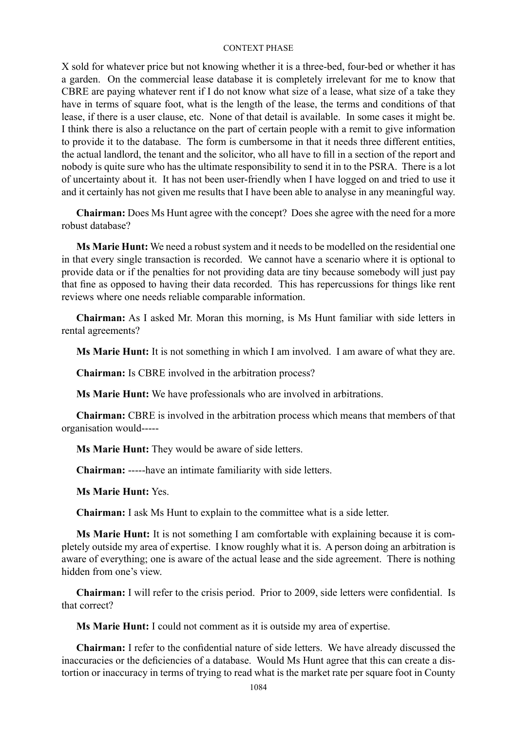X sold for whatever price but not knowing whether it is a three-bed, four-bed or whether it has a garden. On the commercial lease database it is completely irrelevant for me to know that CBRE are paying whatever rent if I do not know what size of a lease, what size of a take they have in terms of square foot, what is the length of the lease, the terms and conditions of that lease, if there is a user clause, etc. None of that detail is available. In some cases it might be. I think there is also a reluctance on the part of certain people with a remit to give information to provide it to the database. The form is cumbersome in that it needs three different entities, the actual landlord, the tenant and the solicitor, who all have to fill in a section of the report and nobody is quite sure who has the ultimate responsibility to send it in to the PSRA. There is a lot of uncertainty about it. It has not been user-friendly when I have logged on and tried to use it and it certainly has not given me results that I have been able to analyse in any meaningful way.

**Chairman:** Does Ms Hunt agree with the concept? Does she agree with the need for a more robust database?

**Ms Marie Hunt:** We need a robust system and it needs to be modelled on the residential one in that every single transaction is recorded. We cannot have a scenario where it is optional to provide data or if the penalties for not providing data are tiny because somebody will just pay that fine as opposed to having their data recorded. This has repercussions for things like rent reviews where one needs reliable comparable information.

**Chairman:** As I asked Mr. Moran this morning, is Ms Hunt familiar with side letters in rental agreements?

**Ms Marie Hunt:** It is not something in which I am involved. I am aware of what they are.

**Chairman:** Is CBRE involved in the arbitration process?

**Ms Marie Hunt:** We have professionals who are involved in arbitrations.

**Chairman:** CBRE is involved in the arbitration process which means that members of that organisation would-----

**Ms Marie Hunt:** They would be aware of side letters.

**Chairman:** -----have an intimate familiarity with side letters.

**Ms Marie Hunt:** Yes.

**Chairman:** I ask Ms Hunt to explain to the committee what is a side letter.

**Ms Marie Hunt:** It is not something I am comfortable with explaining because it is completely outside my area of expertise. I know roughly what it is. A person doing an arbitration is aware of everything; one is aware of the actual lease and the side agreement. There is nothing hidden from one's view.

**Chairman:** I will refer to the crisis period. Prior to 2009, side letters were confidential. Is that correct?

**Ms Marie Hunt:** I could not comment as it is outside my area of expertise.

**Chairman:** I refer to the confidential nature of side letters. We have already discussed the inaccuracies or the deficiencies of a database. Would Ms Hunt agree that this can create a distortion or inaccuracy in terms of trying to read what is the market rate per square foot in County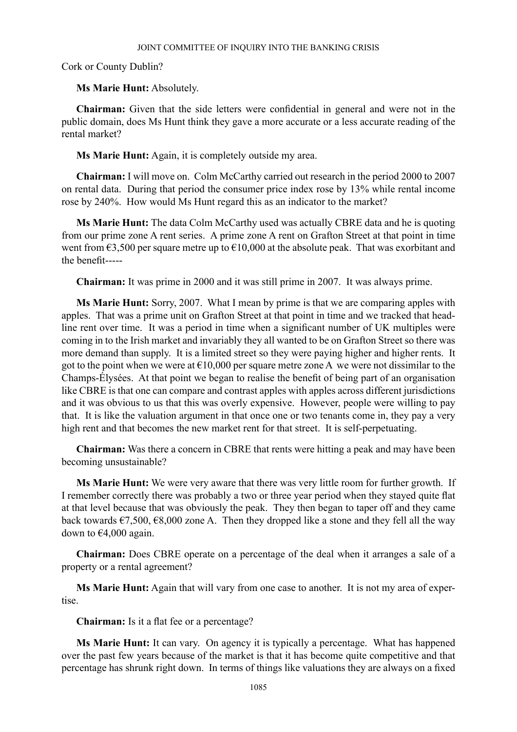Cork or County Dublin?

# **Ms Marie Hunt:** Absolutely.

**Chairman:** Given that the side letters were confidential in general and were not in the public domain, does Ms Hunt think they gave a more accurate or a less accurate reading of the rental market?

**Ms Marie Hunt:** Again, it is completely outside my area.

**Chairman:** I will move on. Colm McCarthy carried out research in the period 2000 to 2007 on rental data. During that period the consumer price index rose by 13% while rental income rose by 240%. How would Ms Hunt regard this as an indicator to the market?

**Ms Marie Hunt:** The data Colm McCarthy used was actually CBRE data and he is quoting from our prime zone A rent series. A prime zone A rent on Grafton Street at that point in time went from  $\epsilon$ 3,500 per square metre up to  $\epsilon$ 10,000 at the absolute peak. That was exorbitant and the benefit-----

**Chairman:** It was prime in 2000 and it was still prime in 2007. It was always prime.

**Ms Marie Hunt:** Sorry, 2007. What I mean by prime is that we are comparing apples with apples. That was a prime unit on Grafton Street at that point in time and we tracked that headline rent over time. It was a period in time when a significant number of UK multiples were coming in to the Irish market and invariably they all wanted to be on Grafton Street so there was more demand than supply. It is a limited street so they were paying higher and higher rents. It got to the point when we were at  $\epsilon$ 10,000 per square metre zone A we were not dissimilar to the Champs-Élysées. At that point we began to realise the benefit of being part of an organisation like CBRE is that one can compare and contrast apples with apples across different jurisdictions and it was obvious to us that this was overly expensive. However, people were willing to pay that. It is like the valuation argument in that once one or two tenants come in, they pay a very high rent and that becomes the new market rent for that street. It is self-perpetuating.

**Chairman:** Was there a concern in CBRE that rents were hitting a peak and may have been becoming unsustainable?

**Ms Marie Hunt:** We were very aware that there was very little room for further growth. If I remember correctly there was probably a two or three year period when they stayed quite flat at that level because that was obviously the peak. They then began to taper off and they came back towards  $\epsilon$ 7,500,  $\epsilon$ 8,000 zone A. Then they dropped like a stone and they fell all the way down to €4,000 again.

**Chairman:** Does CBRE operate on a percentage of the deal when it arranges a sale of a property or a rental agreement?

**Ms Marie Hunt:** Again that will vary from one case to another. It is not my area of expertise.

**Chairman:** Is it a flat fee or a percentage?

**Ms Marie Hunt:** It can vary. On agency it is typically a percentage. What has happened over the past few years because of the market is that it has become quite competitive and that percentage has shrunk right down. In terms of things like valuations they are always on a fixed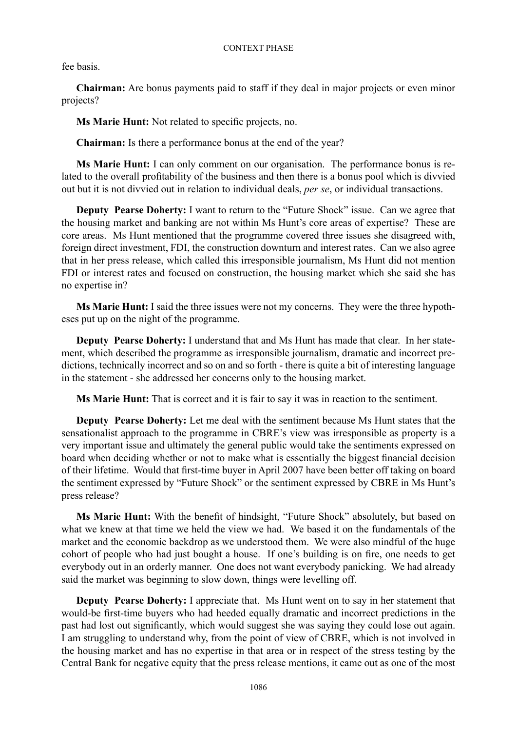fee basis.

**Chairman:** Are bonus payments paid to staff if they deal in major projects or even minor projects?

**Ms Marie Hunt:** Not related to specific projects, no.

**Chairman:** Is there a performance bonus at the end of the year?

**Ms Marie Hunt:** I can only comment on our organisation. The performance bonus is related to the overall profitability of the business and then there is a bonus pool which is divvied out but it is not divvied out in relation to individual deals, *per se*, or individual transactions.

**Deputy Pearse Doherty:** I want to return to the "Future Shock" issue. Can we agree that the housing market and banking are not within Ms Hunt's core areas of expertise? These are core areas. Ms Hunt mentioned that the programme covered three issues she disagreed with, foreign direct investment, FDI, the construction downturn and interest rates. Can we also agree that in her press release, which called this irresponsible journalism, Ms Hunt did not mention FDI or interest rates and focused on construction, the housing market which she said she has no expertise in?

**Ms Marie Hunt:** I said the three issues were not my concerns. They were the three hypotheses put up on the night of the programme.

**Deputy Pearse Doherty:** I understand that and Ms Hunt has made that clear. In her statement, which described the programme as irresponsible journalism, dramatic and incorrect predictions, technically incorrect and so on and so forth - there is quite a bit of interesting language in the statement - she addressed her concerns only to the housing market.

**Ms Marie Hunt:** That is correct and it is fair to say it was in reaction to the sentiment.

**Deputy Pearse Doherty:** Let me deal with the sentiment because Ms Hunt states that the sensationalist approach to the programme in CBRE's view was irresponsible as property is a very important issue and ultimately the general public would take the sentiments expressed on board when deciding whether or not to make what is essentially the biggest financial decision of their lifetime. Would that first-time buyer in April 2007 have been better off taking on board the sentiment expressed by "Future Shock" or the sentiment expressed by CBRE in Ms Hunt's press release?

**Ms Marie Hunt:** With the benefit of hindsight, "Future Shock" absolutely, but based on what we knew at that time we held the view we had. We based it on the fundamentals of the market and the economic backdrop as we understood them. We were also mindful of the huge cohort of people who had just bought a house. If one's building is on fire, one needs to get everybody out in an orderly manner. One does not want everybody panicking. We had already said the market was beginning to slow down, things were levelling off.

**Deputy Pearse Doherty:** I appreciate that. Ms Hunt went on to say in her statement that would-be first-time buyers who had heeded equally dramatic and incorrect predictions in the past had lost out significantly, which would suggest she was saying they could lose out again. I am struggling to understand why, from the point of view of CBRE, which is not involved in the housing market and has no expertise in that area or in respect of the stress testing by the Central Bank for negative equity that the press release mentions, it came out as one of the most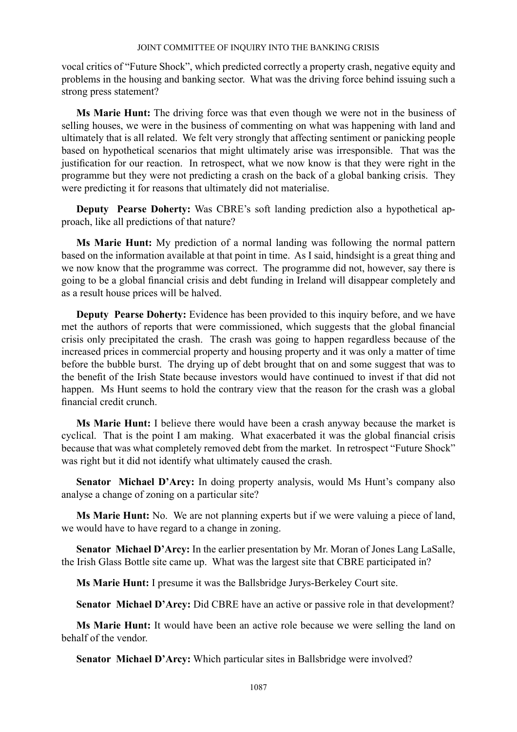vocal critics of "Future Shock", which predicted correctly a property crash, negative equity and problems in the housing and banking sector. What was the driving force behind issuing such a strong press statement?

**Ms Marie Hunt:** The driving force was that even though we were not in the business of selling houses, we were in the business of commenting on what was happening with land and ultimately that is all related. We felt very strongly that affecting sentiment or panicking people based on hypothetical scenarios that might ultimately arise was irresponsible. That was the justification for our reaction. In retrospect, what we now know is that they were right in the programme but they were not predicting a crash on the back of a global banking crisis. They were predicting it for reasons that ultimately did not materialise.

**Deputy Pearse Doherty:** Was CBRE's soft landing prediction also a hypothetical approach, like all predictions of that nature?

**Ms Marie Hunt:** My prediction of a normal landing was following the normal pattern based on the information available at that point in time. As I said, hindsight is a great thing and we now know that the programme was correct. The programme did not, however, say there is going to be a global financial crisis and debt funding in Ireland will disappear completely and as a result house prices will be halved.

**Deputy Pearse Doherty:** Evidence has been provided to this inquiry before, and we have met the authors of reports that were commissioned, which suggests that the global financial crisis only precipitated the crash. The crash was going to happen regardless because of the increased prices in commercial property and housing property and it was only a matter of time before the bubble burst. The drying up of debt brought that on and some suggest that was to the benefit of the Irish State because investors would have continued to invest if that did not happen. Ms Hunt seems to hold the contrary view that the reason for the crash was a global financial credit crunch.

**Ms Marie Hunt:** I believe there would have been a crash anyway because the market is cyclical. That is the point I am making. What exacerbated it was the global financial crisis because that was what completely removed debt from the market. In retrospect "Future Shock" was right but it did not identify what ultimately caused the crash.

**Senator Michael D'Arcy:** In doing property analysis, would Ms Hunt's company also analyse a change of zoning on a particular site?

**Ms Marie Hunt:** No. We are not planning experts but if we were valuing a piece of land, we would have to have regard to a change in zoning.

**Senator Michael D'Arcy:** In the earlier presentation by Mr. Moran of Jones Lang LaSalle, the Irish Glass Bottle site came up. What was the largest site that CBRE participated in?

**Ms Marie Hunt:** I presume it was the Ballsbridge Jurys-Berkeley Court site.

**Senator Michael D'Arcy:** Did CBRE have an active or passive role in that development?

**Ms Marie Hunt:** It would have been an active role because we were selling the land on behalf of the vendor.

**Senator Michael D'Arcy:** Which particular sites in Ballsbridge were involved?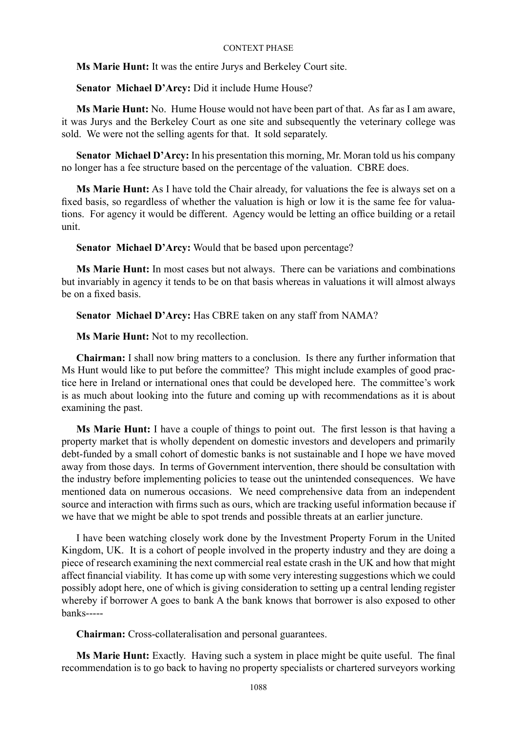**Ms Marie Hunt:** It was the entire Jurys and Berkeley Court site.

**Senator Michael D'Arcy:** Did it include Hume House?

**Ms Marie Hunt:** No. Hume House would not have been part of that. As far as I am aware, it was Jurys and the Berkeley Court as one site and subsequently the veterinary college was sold. We were not the selling agents for that. It sold separately.

**Senator Michael D'Arcy:** In his presentation this morning, Mr. Moran told us his company no longer has a fee structure based on the percentage of the valuation. CBRE does.

**Ms Marie Hunt:** As I have told the Chair already, for valuations the fee is always set on a fixed basis, so regardless of whether the valuation is high or low it is the same fee for valuations. For agency it would be different. Agency would be letting an office building or a retail unit.

**Senator Michael D'Arcy:** Would that be based upon percentage?

**Ms Marie Hunt:** In most cases but not always. There can be variations and combinations but invariably in agency it tends to be on that basis whereas in valuations it will almost always be on a fixed basis.

**Senator Michael D'Arcy:** Has CBRE taken on any staff from NAMA?

**Ms Marie Hunt:** Not to my recollection.

**Chairman:** I shall now bring matters to a conclusion. Is there any further information that Ms Hunt would like to put before the committee? This might include examples of good practice here in Ireland or international ones that could be developed here. The committee's work is as much about looking into the future and coming up with recommendations as it is about examining the past.

**Ms Marie Hunt:** I have a couple of things to point out. The first lesson is that having a property market that is wholly dependent on domestic investors and developers and primarily debt-funded by a small cohort of domestic banks is not sustainable and I hope we have moved away from those days. In terms of Government intervention, there should be consultation with the industry before implementing policies to tease out the unintended consequences. We have mentioned data on numerous occasions. We need comprehensive data from an independent source and interaction with firms such as ours, which are tracking useful information because if we have that we might be able to spot trends and possible threats at an earlier juncture.

I have been watching closely work done by the Investment Property Forum in the United Kingdom, UK. It is a cohort of people involved in the property industry and they are doing a piece of research examining the next commercial real estate crash in the UK and how that might affect financial viability. It has come up with some very interesting suggestions which we could possibly adopt here, one of which is giving consideration to setting up a central lending register whereby if borrower A goes to bank A the bank knows that borrower is also exposed to other banks-----

**Chairman:** Cross-collateralisation and personal guarantees.

**Ms Marie Hunt:** Exactly. Having such a system in place might be quite useful. The final recommendation is to go back to having no property specialists or chartered surveyors working